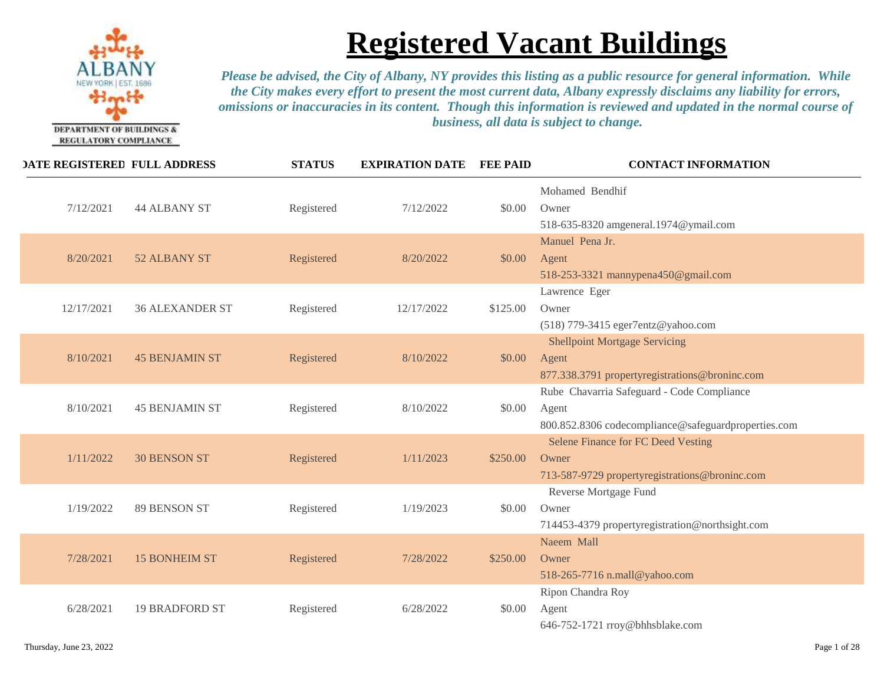

| <b>DATE REGISTERED FULL ADDRESS</b> |                        | <b>STATUS</b> | <b>EXPIRATION DATE</b> | <b>FEE PAID</b> | <b>CONTACT INFORMATION</b>                                                                                 |
|-------------------------------------|------------------------|---------------|------------------------|-----------------|------------------------------------------------------------------------------------------------------------|
| 7/12/2021                           | <b>44 ALBANY ST</b>    | Registered    | 7/12/2022              | \$0.00          | Mohamed Bendhif<br>Owner<br>518-635-8320 amgeneral.1974@ymail.com                                          |
| 8/20/2021                           | 52 ALBANY ST           | Registered    | 8/20/2022              | \$0.00          | Manuel Pena Jr.<br>Agent<br>518-253-3321 mannypena450@gmail.com                                            |
| 12/17/2021                          | <b>36 ALEXANDER ST</b> | Registered    | 12/17/2022             | \$125.00        | Lawrence Eger<br>Owner<br>(518) 779-3415 eger7entz@yahoo.com                                               |
| 8/10/2021                           | <b>45 BENJAMIN ST</b>  | Registered    | 8/10/2022              | \$0.00          | <b>Shellpoint Mortgage Servicing</b><br>Agent<br>877.338.3791 propertyregistrations@broninc.com            |
| 8/10/2021                           | <b>45 BENJAMIN ST</b>  | Registered    | 8/10/2022              | \$0.00          | Rube Chavarria Safeguard - Code Compliance<br>Agent<br>800.852.8306 codecompliance@safeguardproperties.com |
| 1/11/2022                           | <b>30 BENSON ST</b>    | Registered    | 1/11/2023              | \$250.00        | Selene Finance for FC Deed Vesting<br>Owner<br>713-587-9729 propertyregistrations@broninc.com              |
| 1/19/2022                           | <b>89 BENSON ST</b>    | Registered    | 1/19/2023              | \$0.00          | Reverse Mortgage Fund<br>Owner<br>714453-4379 propertyregistration@northsight.com                          |
| 7/28/2021                           | <b>15 BONHEIM ST</b>   | Registered    | 7/28/2022              | \$250.00        | Naeem Mall<br>Owner<br>518-265-7716 n.mall@yahoo.com                                                       |
| 6/28/2021                           | <b>19 BRADFORD ST</b>  | Registered    | 6/28/2022              | \$0.00          | Ripon Chandra Roy<br>Agent<br>646-752-1721 rroy@bhhsblake.com                                              |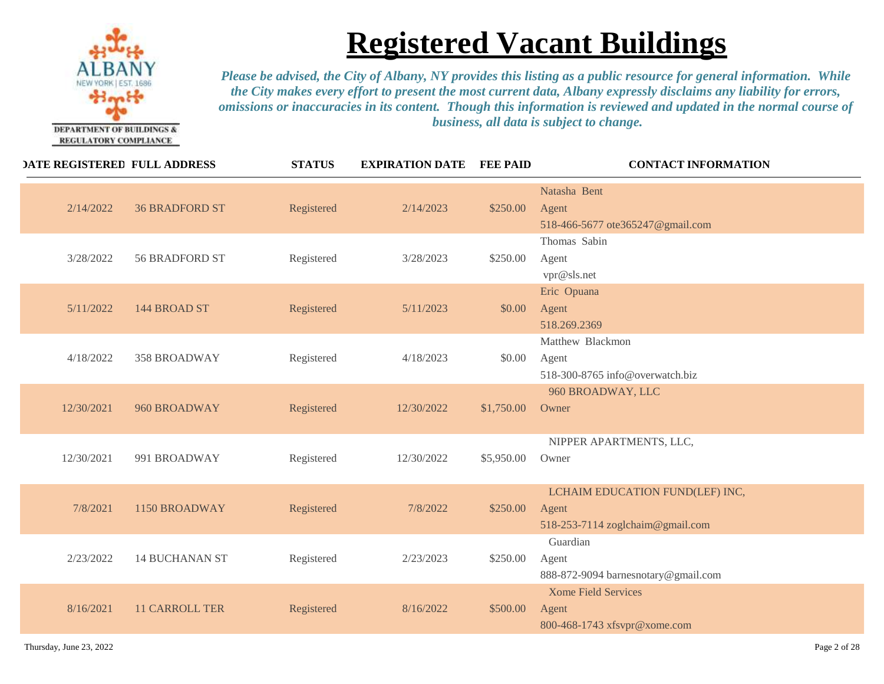

| <b>DATE REGISTERED FULL ADDRESS</b> |                       | <b>STATUS</b> | <b>EXPIRATION DATE FEE PAID</b> |            | <b>CONTACT INFORMATION</b>                                                   |
|-------------------------------------|-----------------------|---------------|---------------------------------|------------|------------------------------------------------------------------------------|
| 2/14/2022                           | <b>36 BRADFORD ST</b> | Registered    | 2/14/2023                       | \$250.00   | Natasha Bent<br>Agent<br>518-466-5677 ote365247@gmail.com                    |
| 3/28/2022                           | 56 BRADFORD ST        | Registered    | 3/28/2023                       | \$250.00   | Thomas Sabin<br>Agent<br>vpr@sls.net                                         |
| 5/11/2022                           | 144 BROAD ST          | Registered    | 5/11/2023                       | \$0.00     | Eric Opuana<br>Agent<br>518.269.2369                                         |
| 4/18/2022                           | 358 BROADWAY          | Registered    | 4/18/2023                       | \$0.00     | Matthew Blackmon<br>Agent<br>518-300-8765 info@overwatch.biz                 |
| 12/30/2021                          | 960 BROADWAY          | Registered    | 12/30/2022                      | \$1,750.00 | 960 BROADWAY, LLC<br>Owner                                                   |
| 12/30/2021                          | 991 BROADWAY          | Registered    | 12/30/2022                      | \$5,950.00 | NIPPER APARTMENTS, LLC,<br>Owner                                             |
| 7/8/2021                            | 1150 BROADWAY         | Registered    | 7/8/2022                        | \$250.00   | LCHAIM EDUCATION FUND(LEF) INC,<br>Agent<br>518-253-7114 zoglchaim@gmail.com |
| 2/23/2022                           | <b>14 BUCHANAN ST</b> | Registered    | 2/23/2023                       | \$250.00   | Guardian<br>Agent<br>888-872-9094 barnesnotary@gmail.com                     |
| 8/16/2021                           | <b>11 CARROLL TER</b> | Registered    | 8/16/2022                       | \$500.00   | <b>Xome Field Services</b><br>Agent<br>800-468-1743 xfsvpr@xome.com          |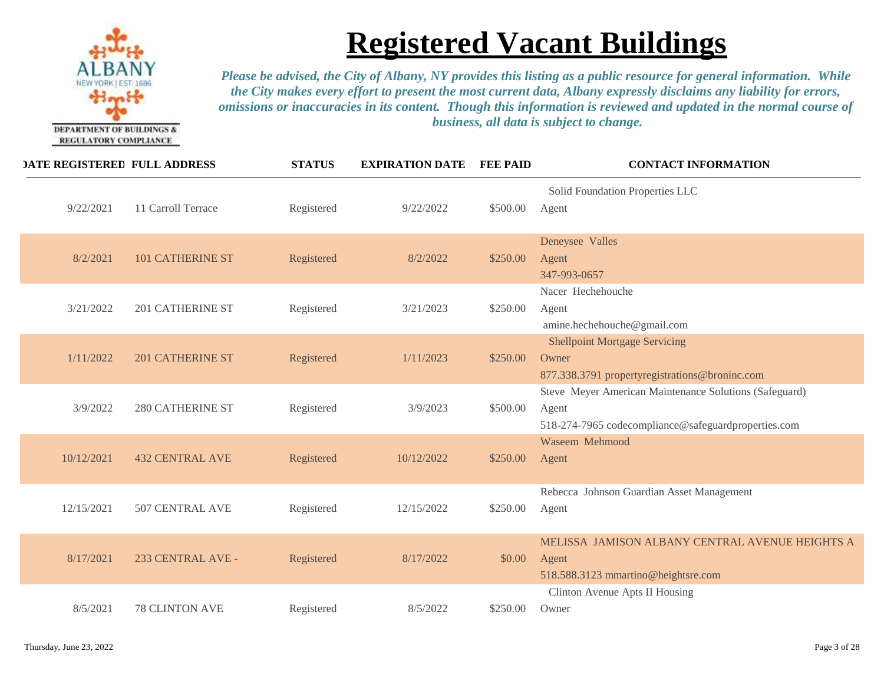

| <b>DATE REGISTERED FULL ADDRESS</b> |                         | <b>STATUS</b> | <b>EXPIRATION DATE</b> | <b>FEE PAID</b> | <b>CONTACT INFORMATION</b>                                                                                             |
|-------------------------------------|-------------------------|---------------|------------------------|-----------------|------------------------------------------------------------------------------------------------------------------------|
| 9/22/2021                           | 11 Carroll Terrace      | Registered    | 9/22/2022              | \$500.00        | Solid Foundation Properties LLC<br>Agent                                                                               |
| 8/2/2021                            | <b>101 CATHERINE ST</b> | Registered    | 8/2/2022               | \$250.00        | Deneysee Valles<br>Agent<br>347-993-0657                                                                               |
| 3/21/2022                           | 201 CATHERINE ST        | Registered    | 3/21/2023              | \$250.00        | Nacer Hechehouche<br>Agent<br>amine.hechehouche@gmail.com                                                              |
| 1/11/2022                           | <b>201 CATHERINE ST</b> | Registered    | 1/11/2023              | \$250.00        | <b>Shellpoint Mortgage Servicing</b><br>Owner<br>877.338.3791 propertyregistrations@broninc.com                        |
| 3/9/2022                            | <b>280 CATHERINE ST</b> | Registered    | 3/9/2023               | \$500.00        | Steve Meyer American Maintenance Solutions (Safeguard)<br>Agent<br>518-274-7965 codecompliance@safeguardproperties.com |
| 10/12/2021                          | <b>432 CENTRAL AVE</b>  | Registered    | 10/12/2022             | \$250.00        | Waseem Mehmood<br>Agent                                                                                                |
| 12/15/2021                          | 507 CENTRAL AVE         | Registered    | 12/15/2022             | \$250.00        | Rebecca Johnson Guardian Asset Management<br>Agent                                                                     |
| 8/17/2021                           | 233 CENTRAL AVE -       | Registered    | 8/17/2022              | \$0.00          | MELISSA JAMISON ALBANY CENTRAL AVENUE HEIGHTS A<br>Agent<br>518.588.3123 mmartino@heightsre.com                        |
| 8/5/2021                            | 78 CLINTON AVE          | Registered    | 8/5/2022               | \$250.00        | Clinton Avenue Apts II Housing<br>Owner                                                                                |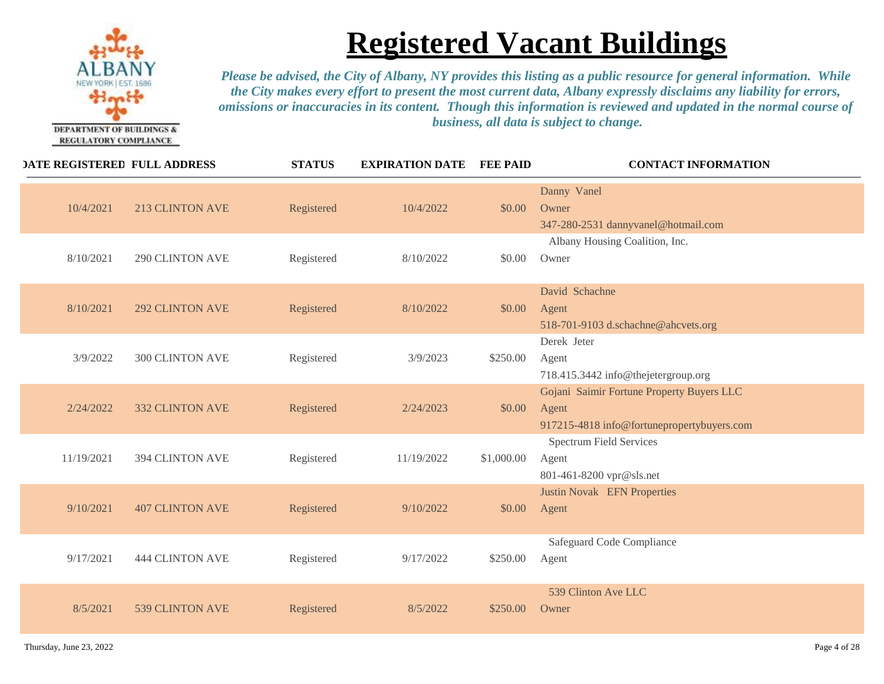

| <b>DATE REGISTERED FULL ADDRESS</b>  | <b>STATUS</b> | <b>EXPIRATION DATE</b> | <b>FEE PAID</b> | <b>CONTACT INFORMATION</b>                                                                       |
|--------------------------------------|---------------|------------------------|-----------------|--------------------------------------------------------------------------------------------------|
| 10/4/2021<br><b>213 CLINTON AVE</b>  | Registered    | 10/4/2022              | \$0.00          | Danny Vanel<br>Owner<br>347-280-2531 dannyvanel@hotmail.com                                      |
| 8/10/2021<br><b>290 CLINTON AVE</b>  | Registered    | 8/10/2022              | \$0.00          | Albany Housing Coalition, Inc.<br>Owner                                                          |
| 8/10/2021<br><b>292 CLINTON AVE</b>  | Registered    | 8/10/2022              | \$0.00          | David Schachne<br>Agent<br>518-701-9103 d.schachne@ahcvets.org                                   |
| <b>300 CLINTON AVE</b><br>3/9/2022   | Registered    | 3/9/2023               | \$250.00        | Derek Jeter<br>Agent<br>718.415.3442 info@thejetergroup.org                                      |
| <b>332 CLINTON AVE</b><br>2/24/2022  | Registered    | 2/24/2023              | \$0.00          | Gojani Saimir Fortune Property Buyers LLC<br>Agent<br>917215-4818 info@fortunepropertybuyers.com |
| <b>394 CLINTON AVE</b><br>11/19/2021 | Registered    | 11/19/2022             | \$1,000.00      | <b>Spectrum Field Services</b><br>Agent<br>801-461-8200 vpr@sls.net                              |
| 9/10/2021<br><b>407 CLINTON AVE</b>  | Registered    | 9/10/2022              | \$0.00          | <b>Justin Novak EFN Properties</b><br>Agent                                                      |
| 9/17/2021<br><b>444 CLINTON AVE</b>  | Registered    | 9/17/2022              | \$250.00        | Safeguard Code Compliance<br>Agent                                                               |
| 8/5/2021<br>539 CLINTON AVE          | Registered    | 8/5/2022               | \$250.00        | 539 Clinton Ave LLC<br>Owner                                                                     |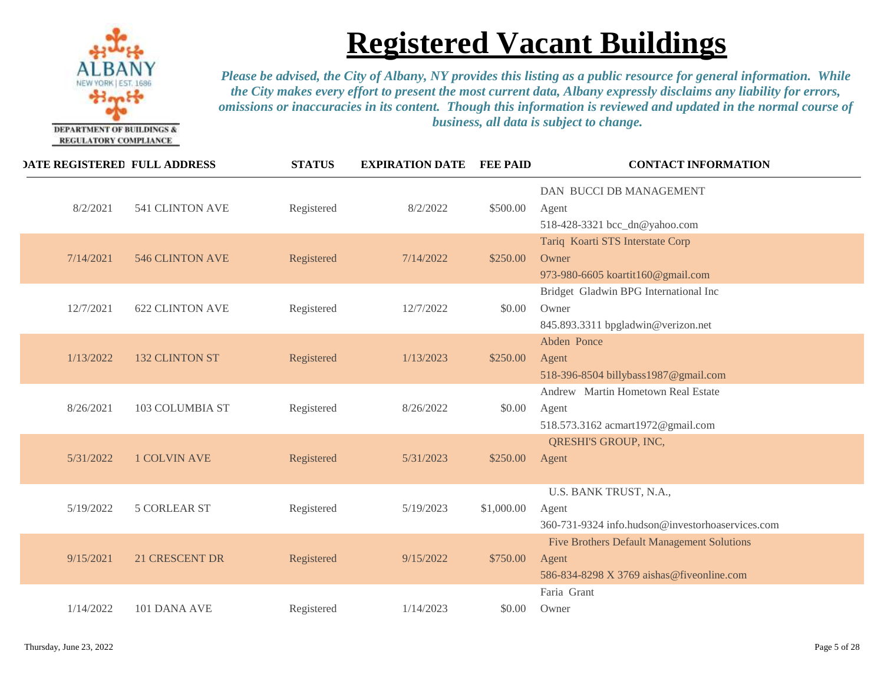

| <b>DATE REGISTERED FULL ADDRESS</b> |                        | <b>STATUS</b> | <b>EXPIRATION DATE</b> | <b>FEE PAID</b> | <b>CONTACT INFORMATION</b>                                                                              |
|-------------------------------------|------------------------|---------------|------------------------|-----------------|---------------------------------------------------------------------------------------------------------|
| 8/2/2021                            | <b>541 CLINTON AVE</b> | Registered    | 8/2/2022               | \$500.00        | DAN BUCCI DB MANAGEMENT<br>Agent<br>518-428-3321 bcc_dn@yahoo.com                                       |
| 7/14/2021                           | <b>546 CLINTON AVE</b> | Registered    | 7/14/2022              | \$250.00        | Tariq Koarti STS Interstate Corp<br>Owner<br>973-980-6605 koartit160@gmail.com                          |
| 12/7/2021                           | <b>622 CLINTON AVE</b> | Registered    | 12/7/2022              | \$0.00          | Bridget Gladwin BPG International Inc<br>Owner<br>845.893.3311 bpgladwin@verizon.net                    |
| 1/13/2022                           | <b>132 CLINTON ST</b>  | Registered    | 1/13/2023              | \$250.00        | Abden Ponce<br>Agent<br>518-396-8504 billybass1987@gmail.com                                            |
| 8/26/2021                           | 103 COLUMBIA ST        | Registered    | 8/26/2022              | \$0.00          | Andrew Martin Hometown Real Estate<br>Agent<br>518.573.3162 acmart1972@gmail.com                        |
| 5/31/2022                           | <b>1 COLVIN AVE</b>    | Registered    | 5/31/2023              | \$250.00        | QRESHI'S GROUP, INC,<br>Agent                                                                           |
| 5/19/2022                           | <b>5 CORLEAR ST</b>    | Registered    | 5/19/2023              | \$1,000.00      | U.S. BANK TRUST, N.A.,<br>Agent<br>360-731-9324 info.hudson@investorhoaservices.com                     |
| 9/15/2021                           | <b>21 CRESCENT DR</b>  | Registered    | 9/15/2022              | \$750.00        | <b>Five Brothers Default Management Solutions</b><br>Agent<br>586-834-8298 X 3769 aishas@fiveonline.com |
| 1/14/2022                           | 101 DANA AVE           | Registered    | 1/14/2023              | \$0.00          | Faria Grant<br>Owner                                                                                    |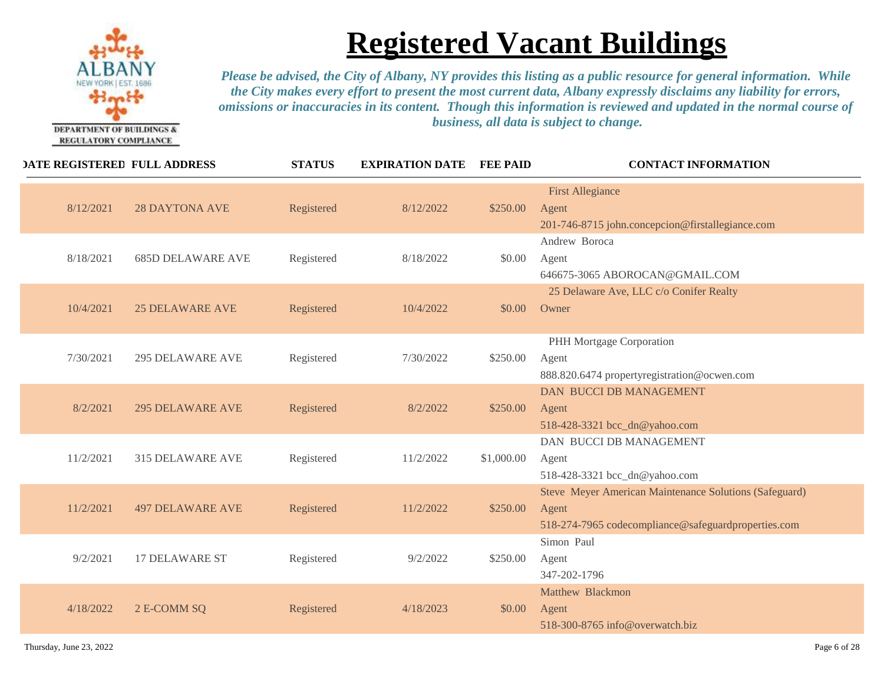

| <b>DATE REGISTERED FULL ADDRESS</b>   | <b>STATUS</b> | <b>EXPIRATION DATE</b> | <b>FEE PAID</b> | <b>CONTACT INFORMATION</b>                                                                                             |
|---------------------------------------|---------------|------------------------|-----------------|------------------------------------------------------------------------------------------------------------------------|
| 8/12/2021<br><b>28 DAYTONA AVE</b>    | Registered    | 8/12/2022              | \$250.00        | <b>First Allegiance</b><br>Agent<br>201-746-8715 john.concepcion@firstallegiance.com                                   |
| 8/18/2021<br><b>685D DELAWARE AVE</b> | Registered    | 8/18/2022              | \$0.00          | Andrew Boroca<br>Agent<br>646675-3065 ABOROCAN@GMAIL.COM                                                               |
| 10/4/2021<br><b>25 DELAWARE AVE</b>   | Registered    | 10/4/2022              | \$0.00          | 25 Delaware Ave, LLC c/o Conifer Realty<br>Owner                                                                       |
| 7/30/2021<br><b>295 DELAWARE AVE</b>  | Registered    | 7/30/2022              | \$250.00        | PHH Mortgage Corporation<br>Agent<br>888.820.6474 propertyregistration@ocwen.com                                       |
| 8/2/2021<br><b>295 DELAWARE AVE</b>   | Registered    | 8/2/2022               | \$250.00        | <b>DAN BUCCI DB MANAGEMENT</b><br>Agent<br>518-428-3321 bcc_dn@yahoo.com                                               |
| 11/2/2021<br>315 DELAWARE AVE         | Registered    | 11/2/2022              | \$1,000.00      | DAN BUCCI DB MANAGEMENT<br>Agent<br>518-428-3321 bcc_dn@yahoo.com                                                      |
| 11/2/2021<br><b>497 DELAWARE AVE</b>  | Registered    | 11/2/2022              | \$250.00        | Steve Meyer American Maintenance Solutions (Safeguard)<br>Agent<br>518-274-7965 codecompliance@safeguardproperties.com |
| 9/2/2021<br><b>17 DELAWARE ST</b>     | Registered    | 9/2/2022               | \$250.00        | Simon Paul<br>Agent<br>347-202-1796                                                                                    |
| 4/18/2022<br>2 E-COMM SQ              | Registered    | 4/18/2023              | \$0.00          | Matthew Blackmon<br>Agent<br>518-300-8765 info@overwatch.biz                                                           |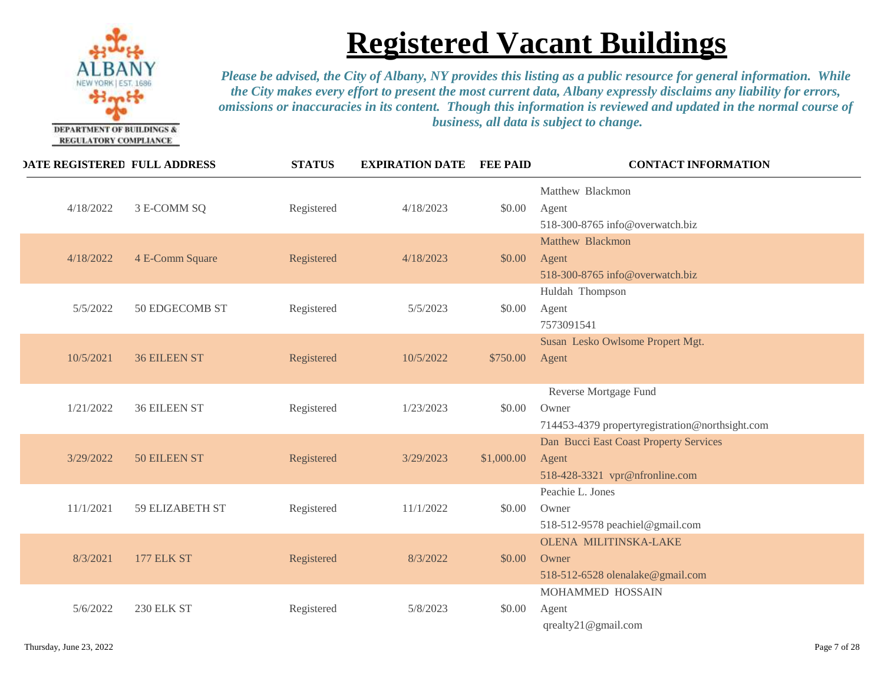

| <b>DATE REGISTERED FULL ADDRESS</b> |                     | <b>STATUS</b> | <b>EXPIRATION DATE</b> | <b>FEE PAID</b> | <b>CONTACT INFORMATION</b>                                                        |
|-------------------------------------|---------------------|---------------|------------------------|-----------------|-----------------------------------------------------------------------------------|
| 4/18/2022                           | 3 E-COMM SQ         | Registered    | 4/18/2023              | \$0.00          | Matthew Blackmon<br>Agent<br>518-300-8765 info@overwatch.biz                      |
| 4/18/2022                           | 4 E-Comm Square     | Registered    | 4/18/2023              | \$0.00          | Matthew Blackmon<br>Agent<br>518-300-8765 info@overwatch.biz                      |
| 5/5/2022                            | 50 EDGECOMB ST      | Registered    | 5/5/2023               | \$0.00          | Huldah Thompson<br>Agent<br>7573091541                                            |
| 10/5/2021                           | <b>36 EILEEN ST</b> | Registered    | 10/5/2022              | \$750.00        | Susan Lesko Owlsome Propert Mgt.<br>Agent                                         |
| 1/21/2022                           | <b>36 EILEEN ST</b> | Registered    | 1/23/2023              | \$0.00          | Reverse Mortgage Fund<br>Owner<br>714453-4379 propertyregistration@northsight.com |
| 3/29/2022                           | 50 EILEEN ST        | Registered    | 3/29/2023              | \$1,000.00      | Dan Bucci East Coast Property Services<br>Agent<br>518-428-3321 vpr@nfronline.com |
| 11/1/2021                           | 59 ELIZABETH ST     | Registered    | 11/1/2022              | \$0.00          | Peachie L. Jones<br>Owner<br>518-512-9578 peachiel@gmail.com                      |
| 8/3/2021                            | <b>177 ELK ST</b>   | Registered    | 8/3/2022               | \$0.00          | <b>OLENA MILITINSKA-LAKE</b><br>Owner<br>518-512-6528 olenalake@gmail.com         |
| 5/6/2022                            | <b>230 ELK ST</b>   | Registered    | 5/8/2023               | \$0.00          | MOHAMMED HOSSAIN<br>Agent<br>qrealty21@gmail.com                                  |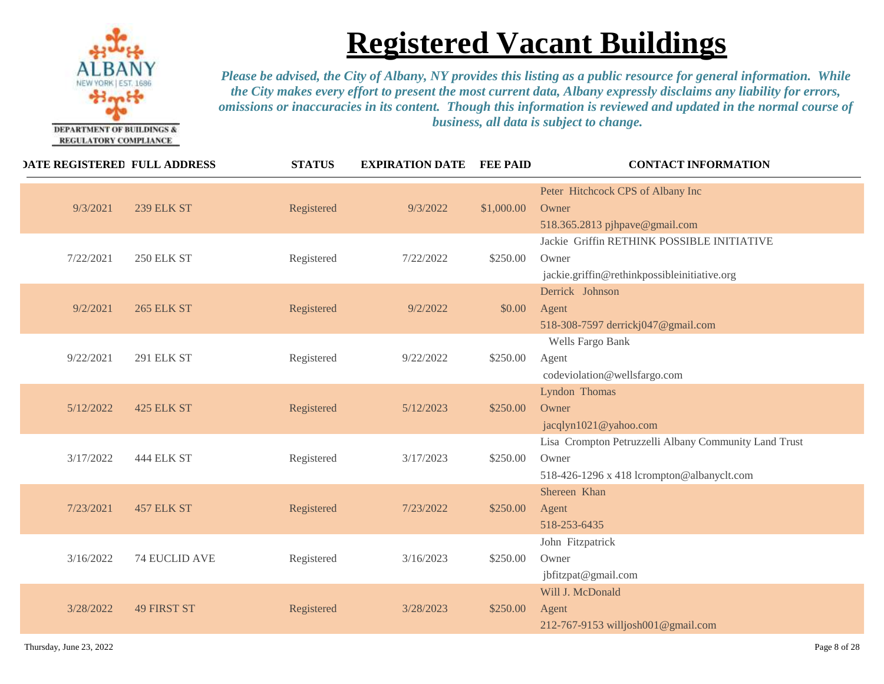

| <b>DATE REGISTERED FULL ADDRESS</b> |                    | <b>STATUS</b> | <b>EXPIRATION DATE</b> | <b>FEE PAID</b> | <b>CONTACT INFORMATION</b>                                                                                   |
|-------------------------------------|--------------------|---------------|------------------------|-----------------|--------------------------------------------------------------------------------------------------------------|
| 9/3/2021                            | <b>239 ELK ST</b>  | Registered    | 9/3/2022               | \$1,000.00      | Peter Hitchcock CPS of Albany Inc<br>Owner<br>518.365.2813 pjhpave@gmail.com                                 |
| 7/22/2021                           | <b>250 ELK ST</b>  | Registered    | 7/22/2022              | \$250.00        | Jackie Griffin RETHINK POSSIBLE INITIATIVE<br>Owner<br>jackie.griffin@rethinkpossibleinitiative.org          |
| 9/2/2021                            | <b>265 ELK ST</b>  | Registered    | 9/2/2022               | \$0.00          | Derrick Johnson<br>Agent<br>518-308-7597 derrickj047@gmail.com                                               |
| 9/22/2021                           | <b>291 ELK ST</b>  | Registered    | 9/22/2022              | \$250.00        | Wells Fargo Bank<br>Agent<br>codeviolation@wellsfargo.com                                                    |
| 5/12/2022                           | 425 ELK ST         | Registered    | 5/12/2023              | \$250.00        | Lyndon Thomas<br>Owner<br>jacqlyn1021@yahoo.com                                                              |
| 3/17/2022                           | 444 ELK ST         | Registered    | 3/17/2023              | \$250.00        | Lisa Crompton Petruzzelli Albany Community Land Trust<br>Owner<br>518-426-1296 x 418 lcrompton@albanyclt.com |
| 7/23/2021                           | 457 ELK ST         | Registered    | 7/23/2022              | \$250.00        | Shereen Khan<br>Agent<br>518-253-6435                                                                        |
| 3/16/2022                           | 74 EUCLID AVE      | Registered    | 3/16/2023              | \$250.00        | John Fitzpatrick<br>Owner<br>jbfitzpat@gmail.com                                                             |
| 3/28/2022                           | <b>49 FIRST ST</b> | Registered    | 3/28/2023              | \$250.00        | Will J. McDonald<br>Agent<br>212-767-9153 willjosh001@gmail.com                                              |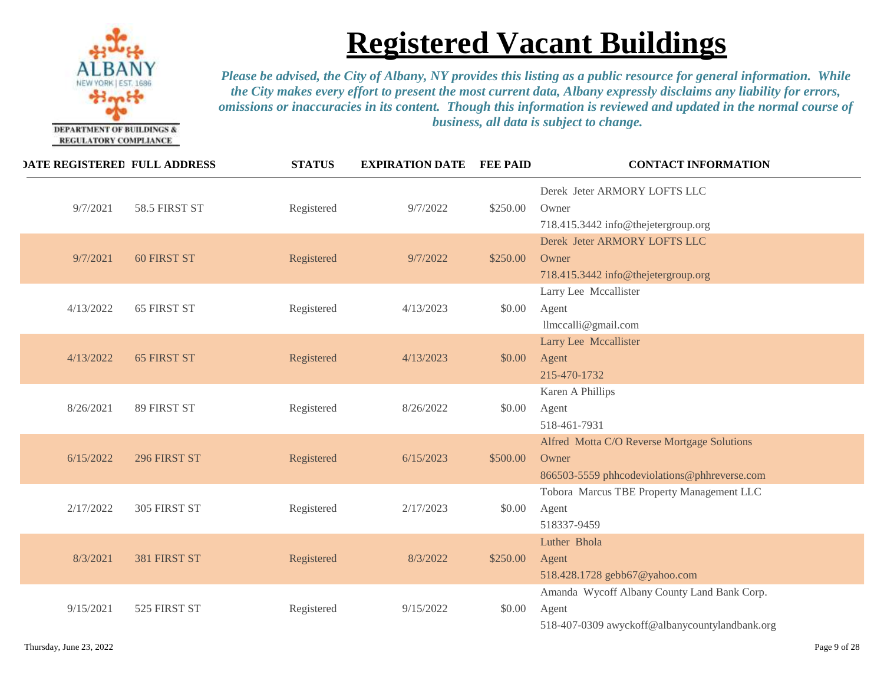

| <b>DATE REGISTERED FULL ADDRESS</b> |                    | <b>STATUS</b> | <b>EXPIRATION DATE</b> | <b>FEE PAID</b> | <b>CONTACT INFORMATION</b>                                                                             |
|-------------------------------------|--------------------|---------------|------------------------|-----------------|--------------------------------------------------------------------------------------------------------|
| 9/7/2021                            | 58.5 FIRST ST      | Registered    | 9/7/2022               | \$250.00        | Derek Jeter ARMORY LOFTS LLC<br>Owner<br>718.415.3442 info@thejetergroup.org                           |
| 9/7/2021                            | <b>60 FIRST ST</b> | Registered    | 9/7/2022               | \$250.00        | Derek Jeter ARMORY LOFTS LLC<br>Owner<br>718.415.3442 info@thejetergroup.org                           |
| 4/13/2022                           | 65 FIRST ST        | Registered    | 4/13/2023              | \$0.00          | Larry Lee Mccallister<br>Agent<br>llmccalli@gmail.com                                                  |
| 4/13/2022                           | <b>65 FIRST ST</b> | Registered    | 4/13/2023              | \$0.00          | Larry Lee Mccallister<br>Agent<br>215-470-1732                                                         |
| 8/26/2021                           | 89 FIRST ST        | Registered    | 8/26/2022              | \$0.00          | Karen A Phillips<br>Agent<br>518-461-7931                                                              |
| 6/15/2022                           | 296 FIRST ST       | Registered    | 6/15/2023              | \$500.00        | Alfred Motta C/O Reverse Mortgage Solutions<br>Owner<br>866503-5559 phhcodeviolations@phhreverse.com   |
| 2/17/2022                           | 305 FIRST ST       | Registered    | 2/17/2023              | \$0.00          | Tobora Marcus TBE Property Management LLC<br>Agent<br>518337-9459                                      |
| 8/3/2021                            | 381 FIRST ST       | Registered    | 8/3/2022               | \$250.00        | Luther Bhola<br>Agent<br>518.428.1728 gebb67@yahoo.com                                                 |
| 9/15/2021                           | 525 FIRST ST       | Registered    | 9/15/2022              | \$0.00          | Amanda Wycoff Albany County Land Bank Corp.<br>Agent<br>518-407-0309 awyckoff@albanycountylandbank.org |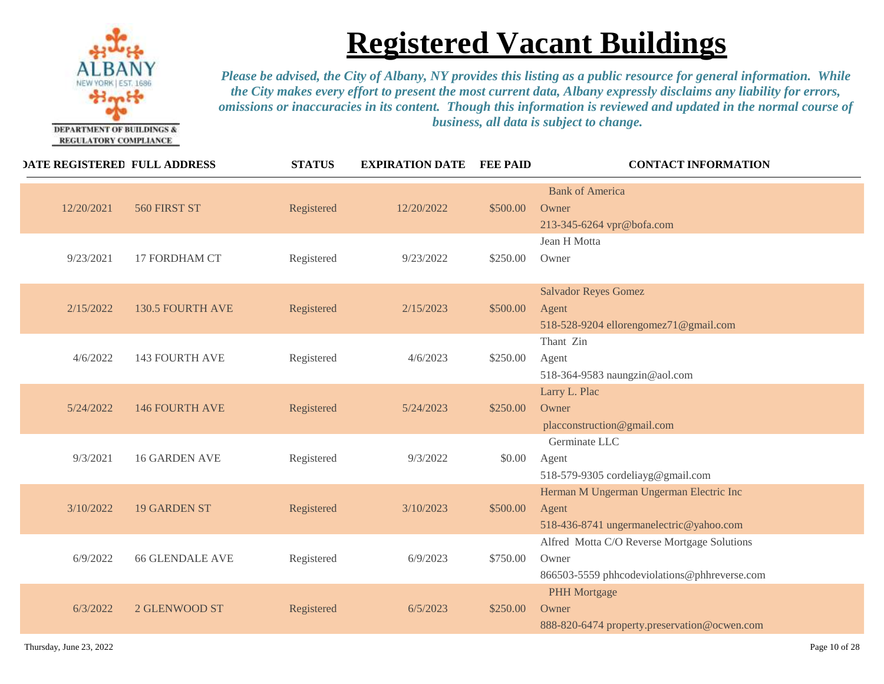

| <b>DATE REGISTERED FULL ADDRESS</b>  | <b>STATUS</b> | <b>EXPIRATION DATE</b> | <b>FEE PAID</b> | <b>CONTACT INFORMATION</b>                                                                           |
|--------------------------------------|---------------|------------------------|-----------------|------------------------------------------------------------------------------------------------------|
| 12/20/2021<br>560 FIRST ST           | Registered    | 12/20/2022             | \$500.00        | <b>Bank of America</b><br>Owner<br>213-345-6264 vpr@bofa.com                                         |
| 17 FORDHAM CT<br>9/23/2021           | Registered    | 9/23/2022              | \$250.00        | Jean H Motta<br>Owner                                                                                |
| 2/15/2022<br><b>130.5 FOURTH AVE</b> | Registered    | 2/15/2023              | \$500.00        | <b>Salvador Reyes Gomez</b><br>Agent<br>518-528-9204 ellorengomez71@gmail.com                        |
| <b>143 FOURTH AVE</b><br>4/6/2022    | Registered    | 4/6/2023               | \$250.00        | Thant Zin<br>Agent<br>518-364-9583 naungzin@aol.com                                                  |
| 5/24/2022<br><b>146 FOURTH AVE</b>   | Registered    | 5/24/2023              | \$250.00        | Larry L. Plac<br>Owner<br>placconstruction@gmail.com                                                 |
| <b>16 GARDEN AVE</b><br>9/3/2021     | Registered    | 9/3/2022               | \$0.00          | Germinate LLC<br>Agent<br>518-579-9305 cordeliayg@gmail.com                                          |
| 3/10/2022<br><b>19 GARDEN ST</b>     | Registered    | 3/10/2023              | \$500.00        | Herman M Ungerman Ungerman Electric Inc<br>Agent<br>518-436-8741 ungermanelectric@yahoo.com          |
| <b>66 GLENDALE AVE</b><br>6/9/2022   | Registered    | 6/9/2023               | \$750.00        | Alfred Motta C/O Reverse Mortgage Solutions<br>Owner<br>866503-5559 phhcodeviolations@phhreverse.com |
| 6/3/2022<br>2 GLENWOOD ST            | Registered    | 6/5/2023               | \$250.00        | <b>PHH Mortgage</b><br>Owner<br>888-820-6474 property.preservation@ocwen.com                         |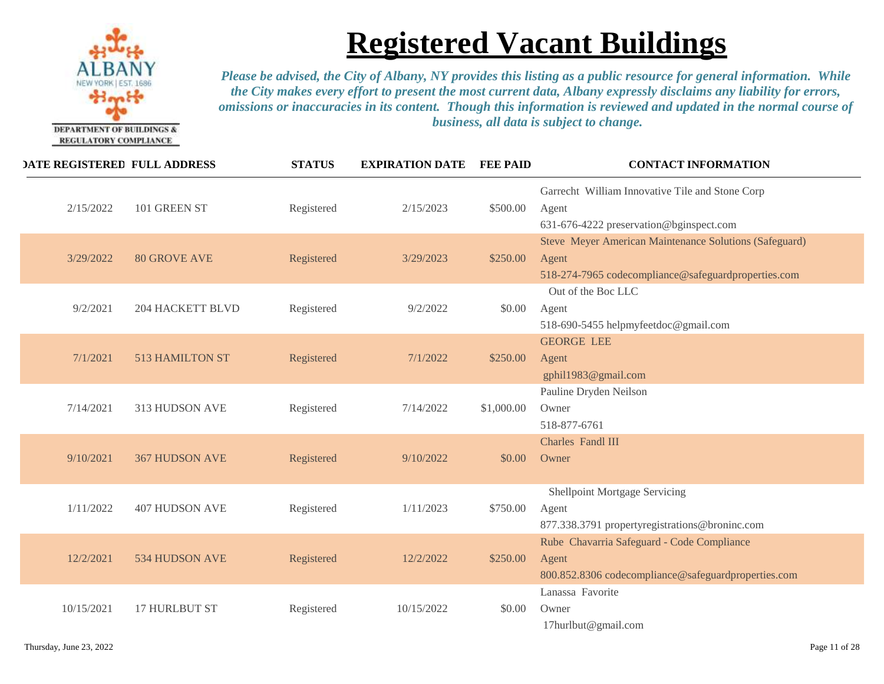

| <b>DATE REGISTERED FULL ADDRESS</b> | <b>STATUS</b> | <b>EXPIRATION DATE</b> | <b>FEE PAID</b> | <b>CONTACT INFORMATION</b>                                                                                             |
|-------------------------------------|---------------|------------------------|-----------------|------------------------------------------------------------------------------------------------------------------------|
| 2/15/2022<br>101 GREEN ST           | Registered    | 2/15/2023              | \$500.00        | Garrecht William Innovative Tile and Stone Corp<br>Agent<br>631-676-4222 preservation@bginspect.com                    |
| 3/29/2022<br><b>80 GROVE AVE</b>    | Registered    | 3/29/2023              | \$250.00        | Steve Meyer American Maintenance Solutions (Safeguard)<br>Agent<br>518-274-7965 codecompliance@safeguardproperties.com |
| <b>204 HACKETT BLVD</b><br>9/2/2021 | Registered    | 9/2/2022               | \$0.00          | Out of the Boc LLC<br>Agent<br>518-690-5455 helpmyfeetdoc@gmail.com                                                    |
| 7/1/2021<br>513 HAMILTON ST         | Registered    | 7/1/2022               | \$250.00        | <b>GEORGE LEE</b><br>Agent<br>gphil1983@gmail.com                                                                      |
| 7/14/2021<br>313 HUDSON AVE         | Registered    | 7/14/2022              | \$1,000.00      | Pauline Dryden Neilson<br>Owner<br>518-877-6761                                                                        |
| 9/10/2021<br><b>367 HUDSON AVE</b>  | Registered    | 9/10/2022              | \$0.00          | Charles Fandl III<br>Owner                                                                                             |
| 1/11/2022<br><b>407 HUDSON AVE</b>  | Registered    | 1/11/2023              | \$750.00        | Shellpoint Mortgage Servicing<br>Agent<br>877.338.3791 propertyregistrations@broninc.com                               |
| 12/2/2021<br>534 HUDSON AVE         | Registered    | 12/2/2022              | \$250.00        | Rube Chavarria Safeguard - Code Compliance<br>Agent<br>800.852.8306 codecompliance@safeguardproperties.com             |
| 10/15/2021<br><b>17 HURLBUT ST</b>  | Registered    | 10/15/2022             | \$0.00          | Lanassa Favorite<br>Owner<br>17hurlbut@gmail.com                                                                       |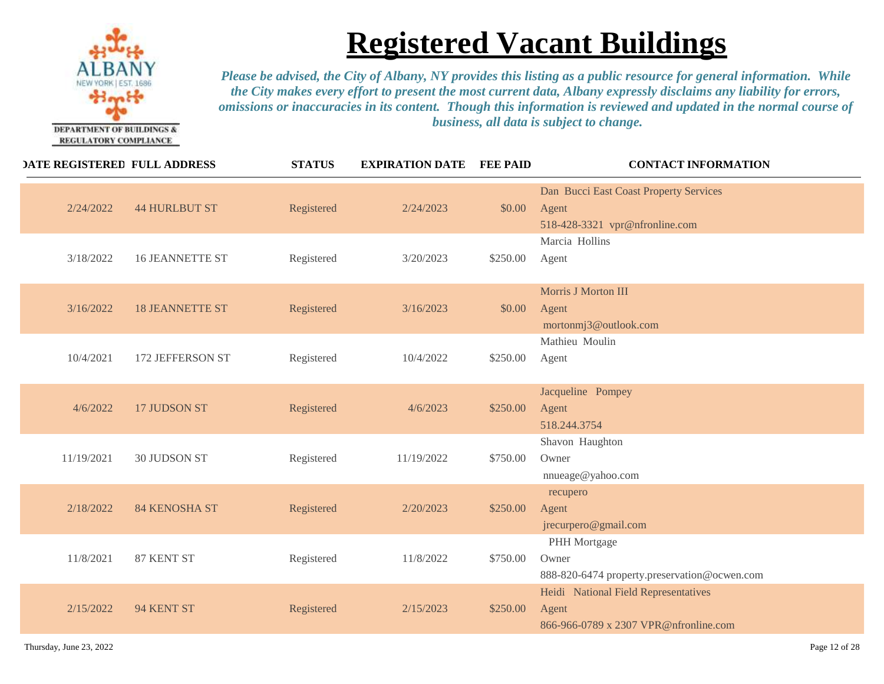

| <b>DATE REGISTERED FULL ADDRESS</b> |                        | <b>STATUS</b> | <b>EXPIRATION DATE</b> | <b>FEE PAID</b> | <b>CONTACT INFORMATION</b>                                                             |
|-------------------------------------|------------------------|---------------|------------------------|-----------------|----------------------------------------------------------------------------------------|
| 2/24/2022                           | <b>44 HURLBUT ST</b>   | Registered    | 2/24/2023              | \$0.00          | Dan Bucci East Coast Property Services<br>Agent<br>518-428-3321 vpr@nfronline.com      |
| 3/18/2022                           | <b>16 JEANNETTE ST</b> | Registered    | 3/20/2023              | \$250.00        | Marcia Hollins<br>Agent                                                                |
| 3/16/2022                           | <b>18 JEANNETTE ST</b> | Registered    | 3/16/2023              | \$0.00          | Morris J Morton III<br>Agent<br>mortonmj3@outlook.com                                  |
| 10/4/2021                           | 172 JEFFERSON ST       | Registered    | 10/4/2022              | \$250.00        | Mathieu Moulin<br>Agent                                                                |
| 4/6/2022                            | 17 JUDSON ST           | Registered    | 4/6/2023               | \$250.00        | Jacqueline Pompey<br>Agent<br>518.244.3754                                             |
| 11/19/2021                          | 30 JUDSON ST           | Registered    | 11/19/2022             | \$750.00        | Shavon Haughton<br>Owner<br>nnueage@yahoo.com                                          |
| 2/18/2022                           | <b>84 KENOSHA ST</b>   | Registered    | 2/20/2023              | \$250.00        | recupero<br>Agent<br>jrecurpero@gmail.com                                              |
| 11/8/2021                           | 87 KENT ST             | Registered    | 11/8/2022              | \$750.00        | PHH Mortgage<br>Owner<br>888-820-6474 property.preservation@ocwen.com                  |
| 2/15/2022                           | 94 KENT ST             | Registered    | 2/15/2023              | \$250.00        | Heidi National Field Representatives<br>Agent<br>866-966-0789 x 2307 VPR@nfronline.com |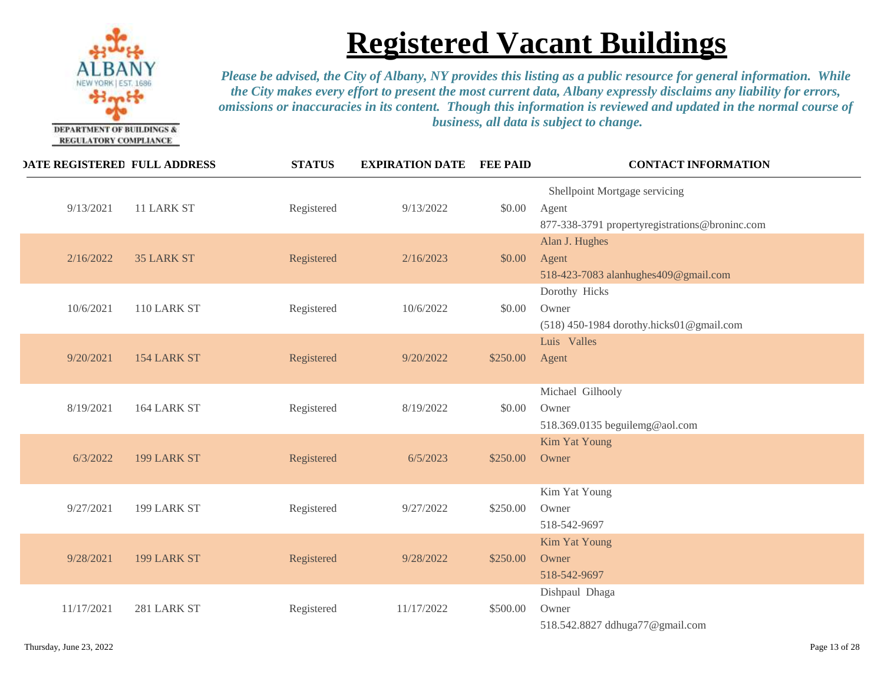

| <b>DATE REGISTERED FULL ADDRESS</b> |                   | <b>STATUS</b> | <b>EXPIRATION DATE</b> | <b>FEE PAID</b> | <b>CONTACT INFORMATION</b>                                                               |
|-------------------------------------|-------------------|---------------|------------------------|-----------------|------------------------------------------------------------------------------------------|
| 9/13/2021                           | 11 LARK ST        | Registered    | 9/13/2022              | \$0.00          | Shellpoint Mortgage servicing<br>Agent<br>877-338-3791 propertyregistrations@broninc.com |
| 2/16/2022                           | <b>35 LARK ST</b> | Registered    | 2/16/2023              | \$0.00          | Alan J. Hughes<br>Agent<br>518-423-7083 alanhughes409@gmail.com                          |
| 10/6/2021                           | 110 LARK ST       | Registered    | 10/6/2022              | \$0.00          | Dorothy Hicks<br>Owner<br>(518) 450-1984 dorothy.hicks01@gmail.com                       |
| 9/20/2021                           | 154 LARK ST       | Registered    | 9/20/2022              | \$250.00        | Luis Valles<br>Agent                                                                     |
| 8/19/2021                           | 164 LARK ST       | Registered    | 8/19/2022              | \$0.00          | Michael Gilhooly<br>Owner<br>518.369.0135 beguilemg@aol.com                              |
| 6/3/2022                            | 199 LARK ST       | Registered    | 6/5/2023               | \$250.00        | <b>Kim Yat Young</b><br>Owner                                                            |
| 9/27/2021                           | 199 LARK ST       | Registered    | 9/27/2022              | \$250.00        | Kim Yat Young<br>Owner<br>518-542-9697                                                   |
| 9/28/2021                           | 199 LARK ST       | Registered    | 9/28/2022              | \$250.00        | <b>Kim Yat Young</b><br>Owner<br>518-542-9697                                            |
| 11/17/2021                          | 281 LARK ST       | Registered    | 11/17/2022             | \$500.00        | Dishpaul Dhaga<br>Owner<br>518.542.8827 ddhuga77@gmail.com                               |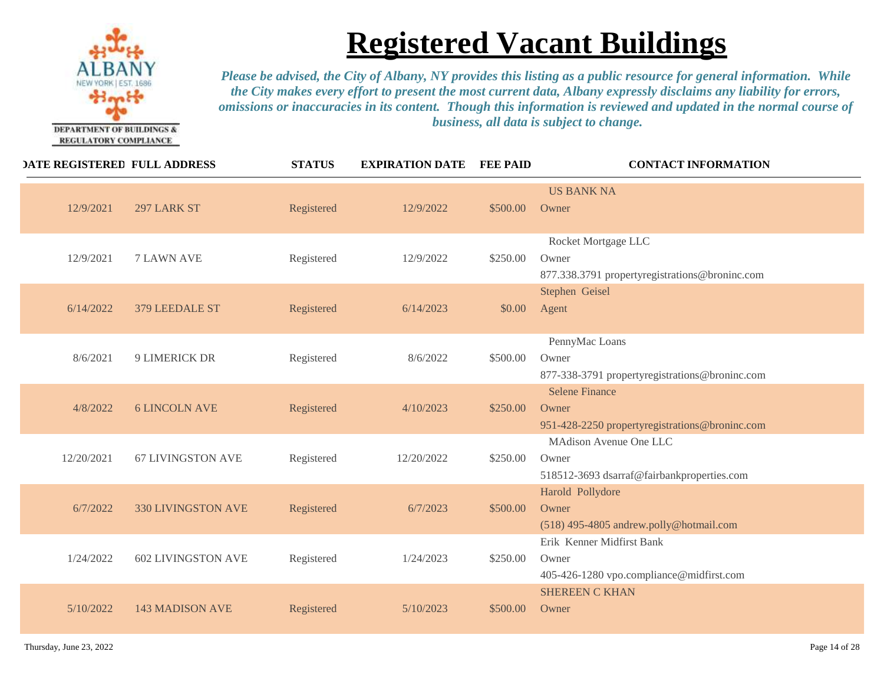

| <b>DATE REGISTERED FULL ADDRESS</b> |                           | <b>STATUS</b> | <b>EXPIRATION DATE</b> | <b>FEE PAID</b> | <b>CONTACT INFORMATION</b>                                                       |
|-------------------------------------|---------------------------|---------------|------------------------|-----------------|----------------------------------------------------------------------------------|
| 12/9/2021                           | 297 LARK ST               | Registered    | 12/9/2022              | \$500.00        | <b>US BANK NA</b><br>Owner                                                       |
| 12/9/2021                           | <b>7 LAWN AVE</b>         | Registered    | 12/9/2022              | \$250.00        | Rocket Mortgage LLC<br>Owner<br>877.338.3791 propertyregistrations@broninc.com   |
| 6/14/2022                           | 379 LEEDALE ST            | Registered    | 6/14/2023              | \$0.00          | Stephen Geisel<br>Agent                                                          |
| 8/6/2021                            | <b>9 LIMERICK DR</b>      | Registered    | 8/6/2022               | \$500.00        | PennyMac Loans<br>Owner<br>877-338-3791 propertyregistrations@broninc.com        |
| 4/8/2022                            | <b>6 LINCOLN AVE</b>      | Registered    | 4/10/2023              | \$250.00        | <b>Selene Finance</b><br>Owner<br>951-428-2250 propertyregistrations@broninc.com |
| 12/20/2021                          | <b>67 LIVINGSTON AVE</b>  | Registered    | 12/20/2022             | \$250.00        | MAdison Avenue One LLC<br>Owner<br>518512-3693 dsarraf@fairbankproperties.com    |
| 6/7/2022                            | 330 LIVINGSTON AVE        | Registered    | 6/7/2023               | \$500.00        | Harold Pollydore<br>Owner<br>(518) 495-4805 andrew.polly@hotmail.com             |
| 1/24/2022                           | <b>602 LIVINGSTON AVE</b> | Registered    | 1/24/2023              | \$250.00        | Erik Kenner Midfirst Bank<br>Owner<br>405-426-1280 vpo.compliance@midfirst.com   |
| 5/10/2022                           | <b>143 MADISON AVE</b>    | Registered    | 5/10/2023              | \$500.00        | <b>SHEREEN C KHAN</b><br>Owner                                                   |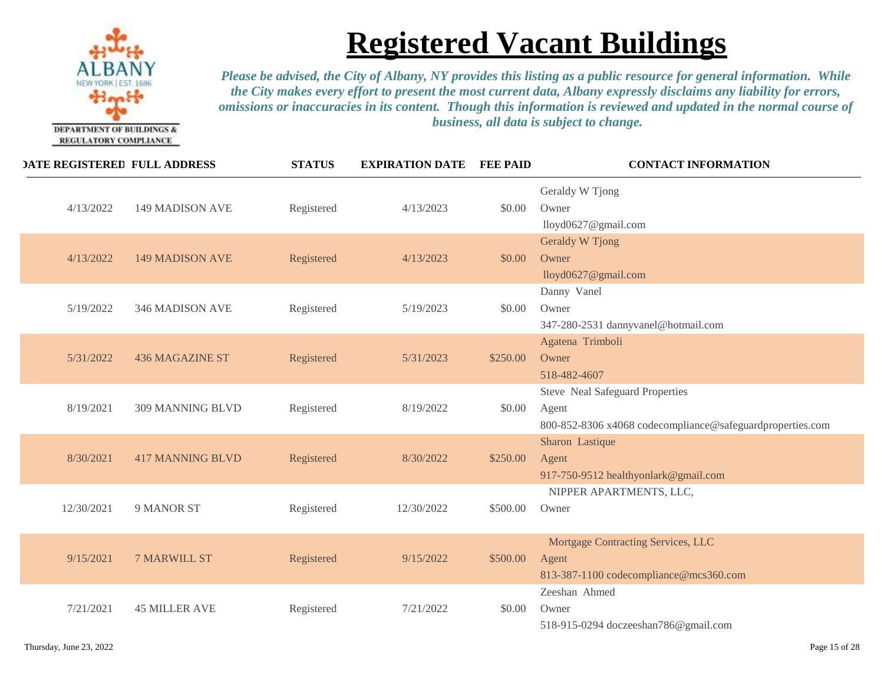

| <b>DATE REGISTERED FULL ADDRESS</b> |                         | <b>STATUS</b> | <b>EXPIRATION DATE</b> | <b>FEE PAID</b> | <b>CONTACT INFORMATION</b>                                                                            |
|-------------------------------------|-------------------------|---------------|------------------------|-----------------|-------------------------------------------------------------------------------------------------------|
| 4/13/2022                           | <b>149 MADISON AVE</b>  | Registered    | 4/13/2023              | \$0.00          | Geraldy W Tjong<br>Owner<br>lloyd0627@gmail.com                                                       |
| 4/13/2022                           | <b>149 MADISON AVE</b>  | Registered    | 4/13/2023              | \$0.00          | Geraldy W Tjong<br>Owner<br>lloyd0627@gmail.com                                                       |
| 5/19/2022                           | 346 MADISON AVE         | Registered    | 5/19/2023              | \$0.00          | Danny Vanel<br>Owner<br>347-280-2531 dannyvanel@hotmail.com                                           |
| 5/31/2022                           | <b>436 MAGAZINE ST</b>  | Registered    | 5/31/2023              | \$250.00        | Agatena Trimboli<br>Owner<br>518-482-4607                                                             |
| 8/19/2021                           | 309 MANNING BLVD        | Registered    | 8/19/2022              | \$0.00          | Steve Neal Safeguard Properties<br>Agent<br>800-852-8306 x4068 codecompliance@safeguardproperties.com |
| 8/30/2021                           | <b>417 MANNING BLVD</b> | Registered    | 8/30/2022              | \$250.00        | Sharon Lastique<br>Agent<br>917-750-9512 healthyonlark@gmail.com                                      |
| 12/30/2021                          | 9 MANOR ST              | Registered    | 12/30/2022             | \$500.00        | NIPPER APARTMENTS, LLC,<br>Owner                                                                      |
| 9/15/2021                           | <b>7 MARWILL ST</b>     | Registered    | 9/15/2022              | \$500.00        | Mortgage Contracting Services, LLC<br>Agent<br>813-387-1100 codecompliance@mcs360.com                 |
| 7/21/2021                           | <b>45 MILLER AVE</b>    | Registered    | 7/21/2022              | \$0.00          | Zeeshan Ahmed<br>Owner<br>518-915-0294 doczeeshan786@gmail.com                                        |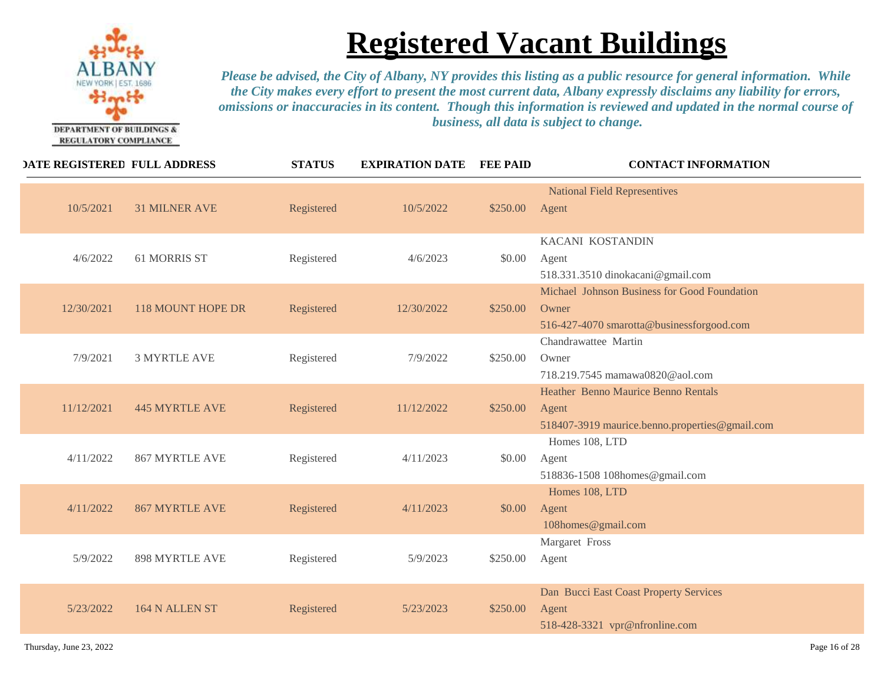

|            | <b>DATE REGISTERED FULL ADDRESS</b> | <b>STATUS</b> | <b>EXPIRATION DATE</b> | <b>FEE PAID</b> | <b>CONTACT INFORMATION</b>                                                                            |
|------------|-------------------------------------|---------------|------------------------|-----------------|-------------------------------------------------------------------------------------------------------|
| 10/5/2021  | <b>31 MILNER AVE</b>                | Registered    | 10/5/2022              | \$250.00        | <b>National Field Representives</b><br>Agent                                                          |
| 4/6/2022   | 61 MORRIS ST                        | Registered    | 4/6/2023               | \$0.00          | KACANI KOSTANDIN<br>Agent<br>518.331.3510 dinokacani@gmail.com                                        |
| 12/30/2021 | <b>118 MOUNT HOPE DR</b>            | Registered    | 12/30/2022             | \$250.00        | Michael Johnson Business for Good Foundation<br>Owner<br>516-427-4070 smarotta@businessforgood.com    |
| 7/9/2021   | <b>3 MYRTLE AVE</b>                 | Registered    | 7/9/2022               | \$250.00        | Chandrawattee Martin<br>Owner<br>718.219.7545 mamawa0820@aol.com                                      |
| 11/12/2021 | <b>445 MYRTLE AVE</b>               | Registered    | 11/12/2022             | \$250.00        | <b>Heather Benno Maurice Benno Rentals</b><br>Agent<br>518407-3919 maurice.benno.properties@gmail.com |
| 4/11/2022  | <b>867 MYRTLE AVE</b>               | Registered    | 4/11/2023              | \$0.00          | Homes 108, LTD<br>Agent<br>518836-1508 108homes@gmail.com                                             |
| 4/11/2022  | <b>867 MYRTLE AVE</b>               | Registered    | 4/11/2023              | \$0.00          | Homes 108, LTD<br>Agent<br>108homes@gmail.com                                                         |
| 5/9/2022   | <b>898 MYRTLE AVE</b>               | Registered    | 5/9/2023               | \$250.00        | Margaret Fross<br>Agent                                                                               |
| 5/23/2022  | 164 N ALLEN ST                      | Registered    | 5/23/2023              | \$250.00        | Dan Bucci East Coast Property Services<br>Agent<br>518-428-3321 vpr@nfronline.com                     |
|            |                                     |               |                        |                 |                                                                                                       |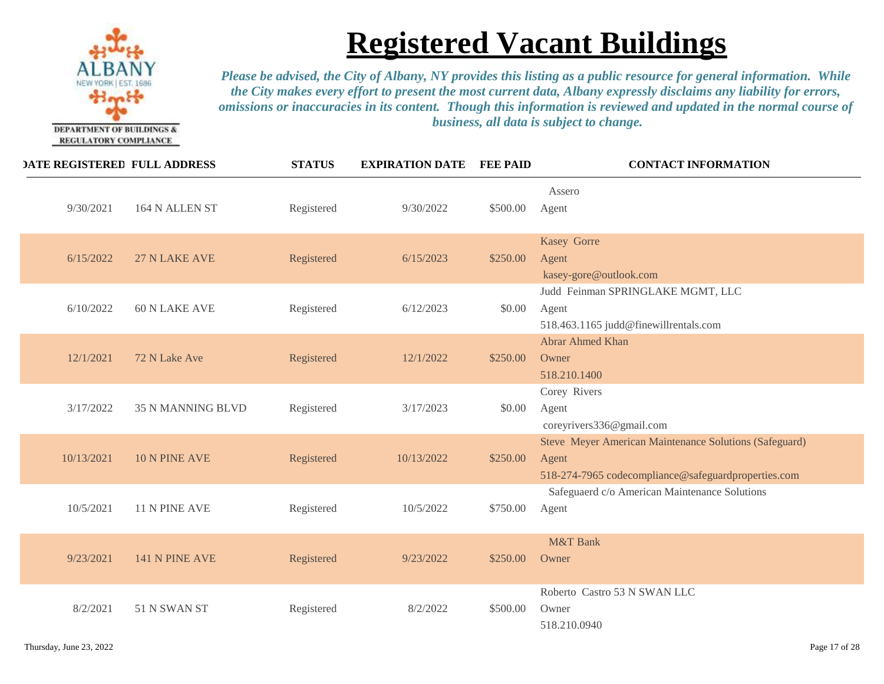

| <b>DATE REGISTERED FULL ADDRESS</b>   | <b>STATUS</b> | <b>EXPIRATION DATE</b> | <b>FEE PAID</b> | <b>CONTACT INFORMATION</b>                                                                                             |
|---------------------------------------|---------------|------------------------|-----------------|------------------------------------------------------------------------------------------------------------------------|
| 9/30/2021<br>164 N ALLEN ST           | Registered    | 9/30/2022              | \$500.00        | Assero<br>Agent                                                                                                        |
| 6/15/2022<br>27 N LAKE AVE            | Registered    | 6/15/2023              | \$250.00        | Kasey Gorre<br>Agent<br>kasey-gore@outlook.com                                                                         |
| 6/10/2022<br><b>60 N LAKE AVE</b>     | Registered    | 6/12/2023              | \$0.00          | Judd Feinman SPRINGLAKE MGMT, LLC<br>Agent<br>518.463.1165 judd@finewillrentals.com                                    |
| 12/1/2021<br>72 N Lake Ave            | Registered    | 12/1/2022              | \$250.00        | Abrar Ahmed Khan<br>Owner<br>518.210.1400                                                                              |
| 3/17/2022<br><b>35 N MANNING BLVD</b> | Registered    | 3/17/2023              | \$0.00          | Corey Rivers<br>Agent<br>coreyrivers336@gmail.com                                                                      |
| 10 N PINE AVE<br>10/13/2021           | Registered    | 10/13/2022             | \$250.00        | Steve Meyer American Maintenance Solutions (Safeguard)<br>Agent<br>518-274-7965 codecompliance@safeguardproperties.com |
| 10/5/2021<br>11 N PINE AVE            | Registered    | 10/5/2022              | \$750.00        | Safeguaerd c/o American Maintenance Solutions<br>Agent                                                                 |
| 9/23/2021<br>141 N PINE AVE           | Registered    | 9/23/2022              | \$250.00        | M&T Bank<br>Owner                                                                                                      |
| 8/2/2021<br>51 N SWAN ST              | Registered    | 8/2/2022               | \$500.00        | Roberto Castro 53 N SWAN LLC<br>Owner<br>518.210.0940                                                                  |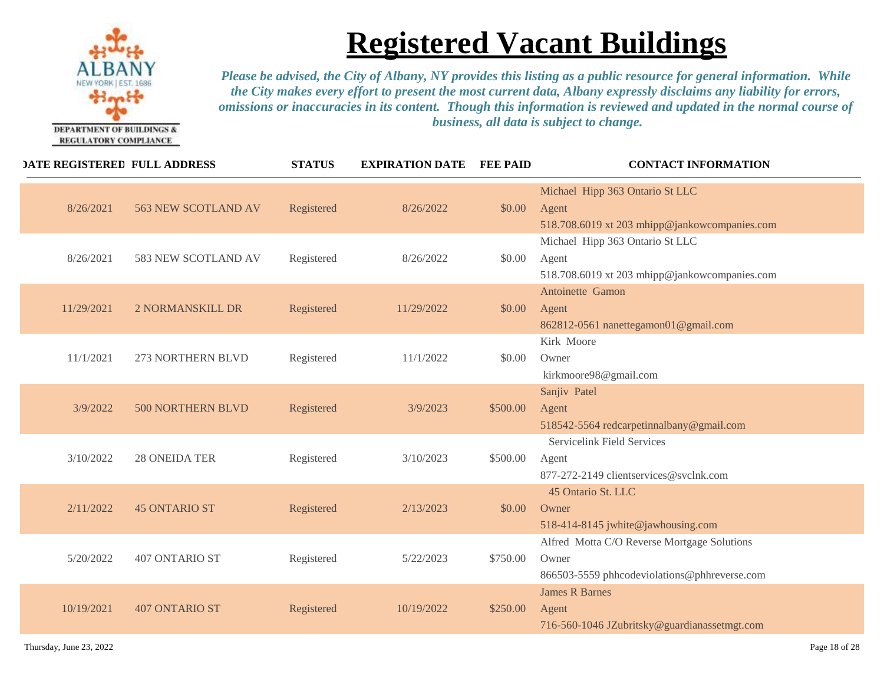

| <b>DATE REGISTERED FULL ADDRESS</b> |                       | <b>STATUS</b> | <b>EXPIRATION DATE</b> | <b>FEE PAID</b> | <b>CONTACT INFORMATION</b>                                                                           |
|-------------------------------------|-----------------------|---------------|------------------------|-----------------|------------------------------------------------------------------------------------------------------|
| 8/26/2021                           | 563 NEW SCOTLAND AV   | Registered    | 8/26/2022              | \$0.00          | Michael Hipp 363 Ontario St LLC<br>Agent<br>518.708.6019 xt 203 mhipp@jankowcompanies.com            |
| 8/26/2021                           | 583 NEW SCOTLAND AV   | Registered    | 8/26/2022              | \$0.00          | Michael Hipp 363 Ontario St LLC<br>Agent<br>518.708.6019 xt 203 mhipp@jankowcompanies.com            |
| 11/29/2021                          | 2 NORMANSKILL DR      | Registered    | 11/29/2022             | \$0.00          | Antoinette Gamon<br>Agent<br>862812-0561 nanettegamon01@gmail.com                                    |
| 11/1/2021                           | 273 NORTHERN BLVD     | Registered    | 11/1/2022              | \$0.00          | Kirk Moore<br>Owner<br>kirkmoore98@gmail.com                                                         |
| 3/9/2022                            | 500 NORTHERN BLVD     | Registered    | 3/9/2023               | \$500.00        | Sanjiv Patel<br>Agent<br>518542-5564 redcarpetinnalbany@gmail.com                                    |
| 3/10/2022                           | <b>28 ONEIDA TER</b>  | Registered    | 3/10/2023              | \$500.00        | <b>Servicelink Field Services</b><br>Agent<br>877-272-2149 clientservices@svclnk.com                 |
| 2/11/2022                           | <b>45 ONTARIO ST</b>  | Registered    | 2/13/2023              | \$0.00          | 45 Ontario St. LLC<br>Owner<br>518-414-8145 jwhite@jawhousing.com                                    |
| 5/20/2022                           | 407 ONTARIO ST        | Registered    | 5/22/2023              | \$750.00        | Alfred Motta C/O Reverse Mortgage Solutions<br>Owner<br>866503-5559 phhcodeviolations@phhreverse.com |
| 10/19/2021                          | <b>407 ONTARIO ST</b> | Registered    | 10/19/2022             | \$250.00        | <b>James R Barnes</b><br>Agent<br>716-560-1046 JZubritsky@guardianassetmgt.com                       |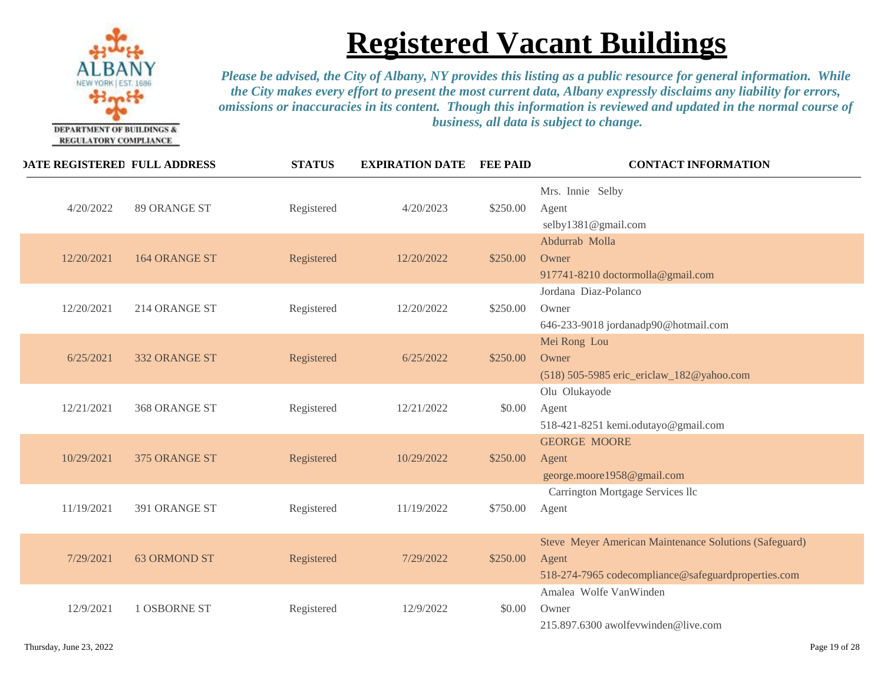

| <b>DATE REGISTERED FULL ADDRESS</b> |                      | <b>STATUS</b> | <b>EXPIRATION DATE</b> | <b>FEE PAID</b> | <b>CONTACT INFORMATION</b>                                                                                             |
|-------------------------------------|----------------------|---------------|------------------------|-----------------|------------------------------------------------------------------------------------------------------------------------|
| 4/20/2022                           | 89 ORANGE ST         | Registered    | 4/20/2023              | \$250.00        | Mrs. Innie Selby<br>Agent<br>selby1381@gmail.com                                                                       |
| 12/20/2021                          | <b>164 ORANGE ST</b> | Registered    | 12/20/2022             | \$250.00        | Abdurrab Molla<br>Owner<br>917741-8210 doctormolla@gmail.com                                                           |
| 12/20/2021                          | 214 ORANGE ST        | Registered    | 12/20/2022             | \$250.00        | Jordana Diaz-Polanco<br>Owner<br>646-233-9018 jordanadp90@hotmail.com                                                  |
| 6/25/2021                           | 332 ORANGE ST        | Registered    | 6/25/2022              | \$250.00        | Mei Rong Lou<br>Owner<br>(518) 505-5985 eric_ericlaw_182@yahoo.com                                                     |
| 12/21/2021                          | 368 ORANGE ST        | Registered    | 12/21/2022             | \$0.00          | Olu Olukayode<br>Agent<br>518-421-8251 kemi.odutayo@gmail.com                                                          |
| 10/29/2021                          | 375 ORANGE ST        | Registered    | 10/29/2022             | \$250.00        | <b>GEORGE MOORE</b><br>Agent<br>george.moore1958@gmail.com                                                             |
| 11/19/2021                          | 391 ORANGE ST        | Registered    | 11/19/2022             | \$750.00        | Carrington Mortgage Services llc<br>Agent                                                                              |
| 7/29/2021                           | <b>63 ORMOND ST</b>  | Registered    | 7/29/2022              | \$250.00        | Steve Meyer American Maintenance Solutions (Safeguard)<br>Agent<br>518-274-7965 codecompliance@safeguardproperties.com |
| 12/9/2021                           | 1 OSBORNE ST         | Registered    | 12/9/2022              | \$0.00          | Amalea Wolfe VanWinden<br>Owner<br>215.897.6300 awolfevwinden@live.com                                                 |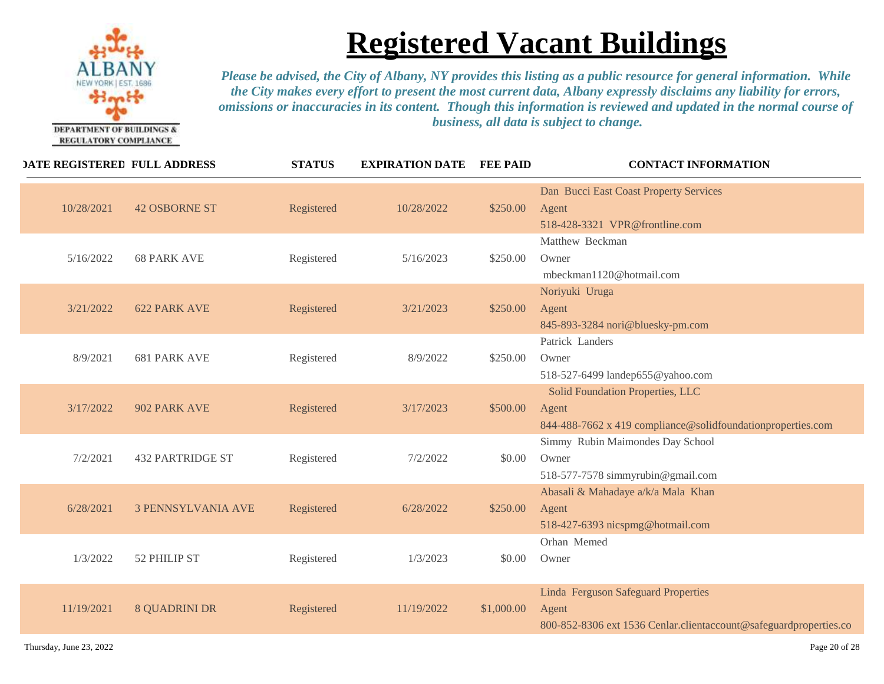

|            | <b>DATE REGISTERED FULL ADDRESS</b> | <b>STATUS</b> | <b>EXPIRATION DATE</b> | <b>FEE PAID</b> | <b>CONTACT INFORMATION</b>                                                                                        |
|------------|-------------------------------------|---------------|------------------------|-----------------|-------------------------------------------------------------------------------------------------------------------|
| 10/28/2021 | <b>42 OSBORNE ST</b>                | Registered    | 10/28/2022             | \$250.00        | Dan Bucci East Coast Property Services<br>Agent<br>518-428-3321 VPR@frontline.com                                 |
| 5/16/2022  | <b>68 PARK AVE</b>                  | Registered    | 5/16/2023              | \$250.00        | Matthew Beckman<br>Owner<br>mbeckman1120@hotmail.com                                                              |
| 3/21/2022  | <b>622 PARK AVE</b>                 | Registered    | 3/21/2023              | \$250.00        | Noriyuki Uruga<br>Agent<br>845-893-3284 nori@bluesky-pm.com                                                       |
| 8/9/2021   | <b>681 PARK AVE</b>                 | Registered    | 8/9/2022               | \$250.00        | Patrick Landers<br>Owner<br>518-527-6499 landep655@yahoo.com                                                      |
| 3/17/2022  | 902 PARK AVE                        | Registered    | 3/17/2023              | \$500.00        | Solid Foundation Properties, LLC<br>Agent<br>844-488-7662 x 419 compliance@solidfoundationproperties.com          |
| 7/2/2021   | <b>432 PARTRIDGE ST</b>             | Registered    | 7/2/2022               | \$0.00          | Simmy Rubin Maimondes Day School<br>Owner<br>518-577-7578 simmyrubin@gmail.com                                    |
| 6/28/2021  | <b>3 PENNSYLVANIA AVE</b>           | Registered    | 6/28/2022              | \$250.00        | Abasali & Mahadaye a/k/a Mala Khan<br>Agent<br>518-427-6393 nicspmg@hotmail.com                                   |
| 1/3/2022   | 52 PHILIP ST                        | Registered    | 1/3/2023               | \$0.00          | Orhan Memed<br>Owner                                                                                              |
| 11/19/2021 | <b>8 QUADRINI DR</b>                | Registered    | 11/19/2022             | \$1,000.00      | Linda Ferguson Safeguard Properties<br>Agent<br>800-852-8306 ext 1536 Cenlar.clientaccount@safeguardproperties.co |
|            |                                     |               |                        |                 |                                                                                                                   |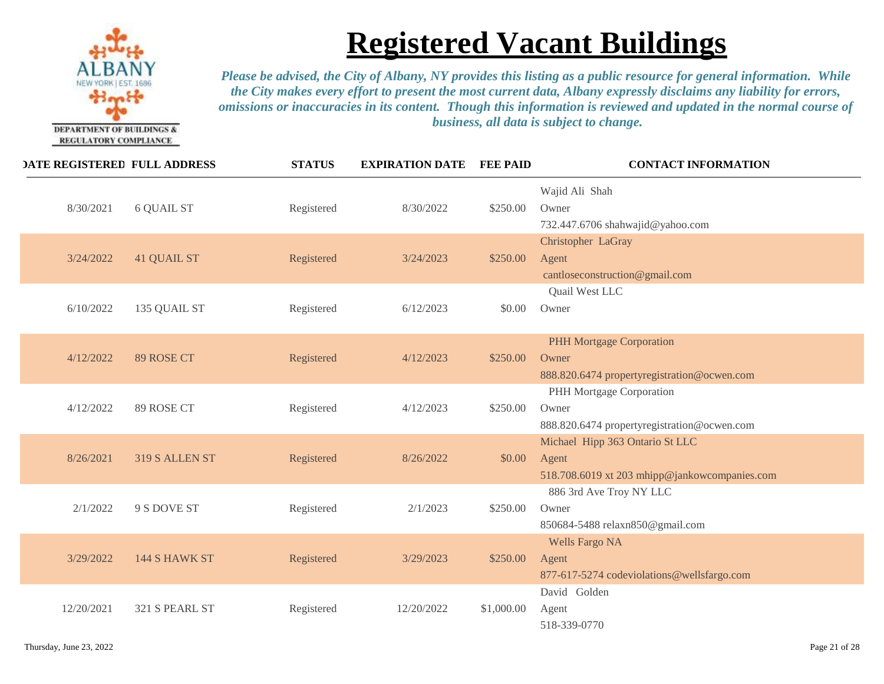

| <b>DATE REGISTERED FULL ADDRESS</b> |                    | <b>STATUS</b> | <b>EXPIRATION DATE</b> | <b>FEE PAID</b> | <b>CONTACT INFORMATION</b>                                                                |
|-------------------------------------|--------------------|---------------|------------------------|-----------------|-------------------------------------------------------------------------------------------|
| 8/30/2021                           | <b>6 QUAIL ST</b>  | Registered    | 8/30/2022              | \$250.00        | Wajid Ali Shah<br>Owner<br>732.447.6706 shahwajid@yahoo.com                               |
| 3/24/2022                           | <b>41 QUAIL ST</b> | Registered    | 3/24/2023              | \$250.00        | Christopher LaGray<br>Agent<br>cantloseconstruction@gmail.com                             |
| 6/10/2022                           | 135 QUAIL ST       | Registered    | 6/12/2023              | \$0.00          | Quail West LLC<br>Owner                                                                   |
| 4/12/2022                           | 89 ROSE CT         | Registered    | 4/12/2023              | \$250.00        | PHH Mortgage Corporation<br>Owner<br>888.820.6474 propertyregistration@ocwen.com          |
| 4/12/2022                           | 89 ROSE CT         | Registered    | 4/12/2023              | \$250.00        | PHH Mortgage Corporation<br>Owner<br>888.820.6474 propertyregistration@ocwen.com          |
| 8/26/2021                           | 319 S ALLEN ST     | Registered    | 8/26/2022              | \$0.00          | Michael Hipp 363 Ontario St LLC<br>Agent<br>518.708.6019 xt 203 mhipp@jankowcompanies.com |
| 2/1/2022                            | 9 S DOVE ST        | Registered    | 2/1/2023               | \$250.00        | 886 3rd Ave Troy NY LLC<br>Owner<br>850684-5488 relaxn850@gmail.com                       |
| 3/29/2022                           | 144 S HAWK ST      | Registered    | 3/29/2023              | \$250.00        | <b>Wells Fargo NA</b><br>Agent<br>877-617-5274 codeviolations@wellsfargo.com              |
| 12/20/2021                          | 321 S PEARL ST     | Registered    | 12/20/2022             | \$1,000.00      | David Golden<br>Agent<br>518-339-0770                                                     |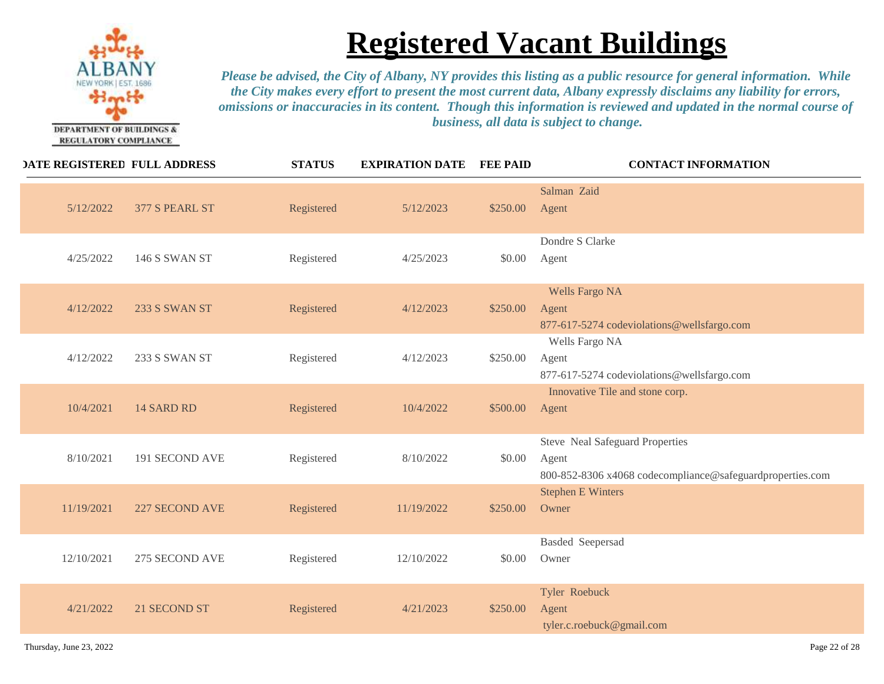

| <b>DATE REGISTERED FULL ADDRESS</b> |                | <b>STATUS</b> | <b>EXPIRATION DATE</b> | <b>FEE PAID</b> | <b>CONTACT INFORMATION</b>                                                                            |
|-------------------------------------|----------------|---------------|------------------------|-----------------|-------------------------------------------------------------------------------------------------------|
| 5/12/2022                           | 377 S PEARL ST | Registered    | 5/12/2023              | \$250.00        | Salman Zaid<br>Agent                                                                                  |
| 4/25/2022                           | 146 S SWAN ST  | Registered    | 4/25/2023              | \$0.00          | Dondre S Clarke<br>Agent                                                                              |
| 4/12/2022                           | 233 S SWAN ST  | Registered    | 4/12/2023              | \$250.00        | <b>Wells Fargo NA</b><br>Agent<br>877-617-5274 codeviolations@wellsfargo.com                          |
| 4/12/2022                           | 233 S SWAN ST  | Registered    | 4/12/2023              | \$250.00        | Wells Fargo NA<br>Agent<br>877-617-5274 codeviolations@wellsfargo.com                                 |
| 10/4/2021                           | 14 SARD RD     | Registered    | 10/4/2022              | \$500.00        | Innovative Tile and stone corp.<br>Agent                                                              |
| 8/10/2021                           | 191 SECOND AVE | Registered    | 8/10/2022              | \$0.00          | Steve Neal Safeguard Properties<br>Agent<br>800-852-8306 x4068 codecompliance@safeguardproperties.com |
| 11/19/2021                          | 227 SECOND AVE | Registered    | 11/19/2022             | \$250.00        | <b>Stephen E Winters</b><br>Owner                                                                     |
| 12/10/2021                          | 275 SECOND AVE | Registered    | 12/10/2022             | \$0.00          | <b>Basded Seepersad</b><br>Owner                                                                      |
| 4/21/2022                           | 21 SECOND ST   | Registered    | 4/21/2023              | \$250.00        | Tyler Roebuck<br>Agent<br>tyler.c.roebuck@gmail.com                                                   |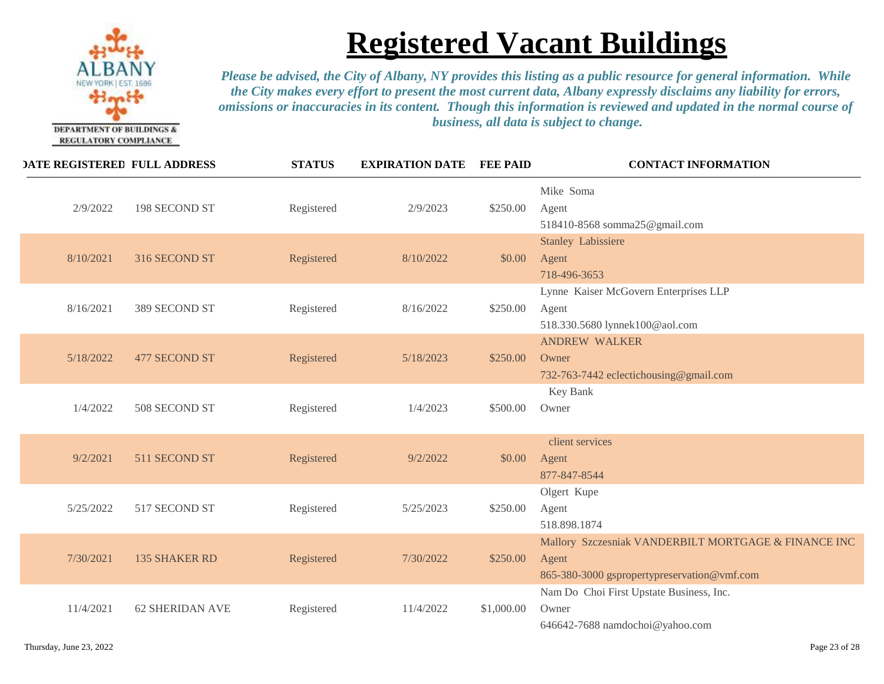

| <b>DATE REGISTERED FULL ADDRESS</b> |                        | <b>STATUS</b> | <b>EXPIRATION DATE</b> | <b>FEE PAID</b> | <b>CONTACT INFORMATION</b>                                                                                   |
|-------------------------------------|------------------------|---------------|------------------------|-----------------|--------------------------------------------------------------------------------------------------------------|
| 2/9/2022                            | 198 SECOND ST          | Registered    | 2/9/2023               | \$250.00        | Mike Soma<br>Agent<br>518410-8568 somma25@gmail.com                                                          |
| 8/10/2021                           | 316 SECOND ST          | Registered    | 8/10/2022              | \$0.00          | <b>Stanley Labissiere</b><br>Agent<br>718-496-3653                                                           |
| 8/16/2021                           | 389 SECOND ST          | Registered    | 8/16/2022              | \$250.00        | Lynne Kaiser McGovern Enterprises LLP<br>Agent<br>518.330.5680 lynnek100@aol.com                             |
| 5/18/2022                           | 477 SECOND ST          | Registered    | 5/18/2023              | \$250.00        | <b>ANDREW WALKER</b><br>Owner<br>732-763-7442 eclectichousing@gmail.com                                      |
| 1/4/2022                            | 508 SECOND ST          | Registered    | 1/4/2023               | \$500.00        | Key Bank<br>Owner                                                                                            |
| 9/2/2021                            | 511 SECOND ST          | Registered    | 9/2/2022               | \$0.00          | client services<br>Agent<br>877-847-8544                                                                     |
| 5/25/2022                           | 517 SECOND ST          | Registered    | 5/25/2023              | \$250.00        | Olgert Kupe<br>Agent<br>518.898.1874                                                                         |
| 7/30/2021                           | <b>135 SHAKER RD</b>   | Registered    | 7/30/2022              | \$250.00        | Mallory Szczesniak VANDERBILT MORTGAGE & FINANCE INC<br>Agent<br>865-380-3000 gspropertypreservation@vmf.com |
| 11/4/2021                           | <b>62 SHERIDAN AVE</b> | Registered    | 11/4/2022              | \$1,000.00      | Nam Do Choi First Upstate Business, Inc.<br>Owner<br>646642-7688 namdochoi@yahoo.com                         |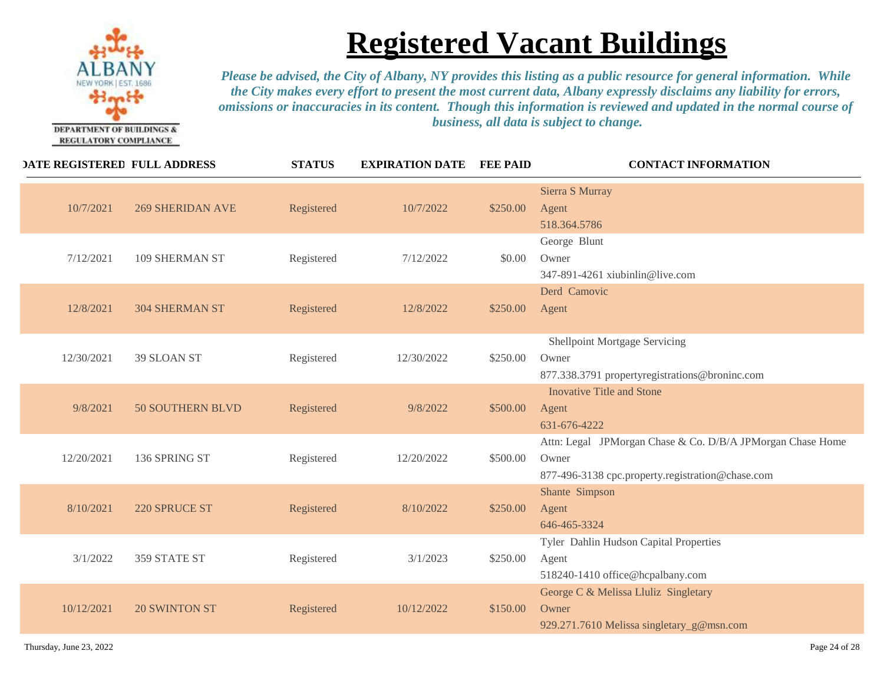

| <b>DATE REGISTERED FULL ADDRESS</b> |                         | <b>STATUS</b> | <b>EXPIRATION DATE</b> | <b>FEE PAID</b> | <b>CONTACT INFORMATION</b>                                                                                              |
|-------------------------------------|-------------------------|---------------|------------------------|-----------------|-------------------------------------------------------------------------------------------------------------------------|
| 10/7/2021                           | <b>269 SHERIDAN AVE</b> | Registered    | 10/7/2022              | \$250.00        | Sierra S Murray<br>Agent<br>518.364.5786                                                                                |
| 7/12/2021                           | 109 SHERMAN ST          | Registered    | 7/12/2022              | \$0.00          | George Blunt<br>Owner<br>347-891-4261 xiubinlin@live.com                                                                |
| 12/8/2021                           | <b>304 SHERMAN ST</b>   | Registered    | 12/8/2022              | \$250.00        | Derd Camovic<br>Agent                                                                                                   |
| 12/30/2021                          | 39 SLOAN ST             | Registered    | 12/30/2022             | \$250.00        | Shellpoint Mortgage Servicing<br>Owner<br>877.338.3791 propertyregistrations@broninc.com                                |
| 9/8/2021                            | <b>50 SOUTHERN BLVD</b> | Registered    | 9/8/2022               | \$500.00        | <b>Inovative Title and Stone</b><br>Agent<br>631-676-4222                                                               |
| 12/20/2021                          | 136 SPRING ST           | Registered    | 12/20/2022             | \$500.00        | Attn: Legal JPMorgan Chase & Co. D/B/A JPMorgan Chase Home<br>Owner<br>877-496-3138 cpc.property.registration@chase.com |
| 8/10/2021                           | 220 SPRUCE ST           | Registered    | 8/10/2022              | \$250.00        | Shante Simpson<br>Agent<br>646-465-3324                                                                                 |
| 3/1/2022                            | 359 STATE ST            | Registered    | 3/1/2023               | \$250.00        | Tyler Dahlin Hudson Capital Properties<br>Agent<br>518240-1410 office@hcpalbany.com                                     |
| 10/12/2021                          | <b>20 SWINTON ST</b>    | Registered    | 10/12/2022             | \$150.00        | George C & Melissa Lluliz Singletary<br>Owner<br>929.271.7610 Melissa singletary_g@msn.com                              |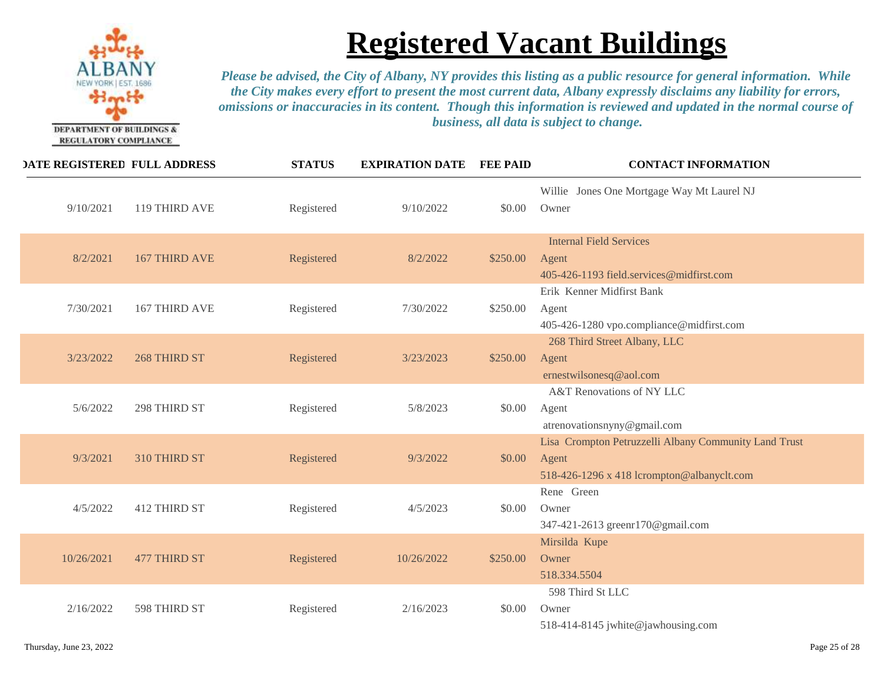

| <b>DATE REGISTERED FULL ADDRESS</b> |                      | <b>STATUS</b> | <b>EXPIRATION DATE</b> | <b>FEE PAID</b> | <b>CONTACT INFORMATION</b>                                                                                   |
|-------------------------------------|----------------------|---------------|------------------------|-----------------|--------------------------------------------------------------------------------------------------------------|
| 9/10/2021                           | 119 THIRD AVE        | Registered    | 9/10/2022              | \$0.00          | Willie Jones One Mortgage Way Mt Laurel NJ<br>Owner                                                          |
| 8/2/2021                            | <b>167 THIRD AVE</b> | Registered    | 8/2/2022               | \$250.00        | <b>Internal Field Services</b><br>Agent<br>405-426-1193 field.services@midfirst.com                          |
| 7/30/2021                           | 167 THIRD AVE        | Registered    | 7/30/2022              | \$250.00        | Erik Kenner Midfirst Bank<br>Agent<br>405-426-1280 vpo.compliance@midfirst.com                               |
| 3/23/2022                           | 268 THIRD ST         | Registered    | 3/23/2023              | \$250.00        | 268 Third Street Albany, LLC<br>Agent<br>ernestwilsonesq@aol.com                                             |
| 5/6/2022                            | 298 THIRD ST         | Registered    | 5/8/2023               | \$0.00          | A&T Renovations of NY LLC<br>Agent<br>atrenovationsnyny@gmail.com                                            |
| 9/3/2021                            | 310 THIRD ST         | Registered    | 9/3/2022               | \$0.00          | Lisa Crompton Petruzzelli Albany Community Land Trust<br>Agent<br>518-426-1296 x 418 lcrompton@albanyclt.com |
| 4/5/2022                            | 412 THIRD ST         | Registered    | 4/5/2023               | \$0.00          | Rene Green<br>Owner<br>347-421-2613 greenr170@gmail.com                                                      |
| 10/26/2021                          | <b>477 THIRD ST</b>  | Registered    | 10/26/2022             | \$250.00        | Mirsilda Kupe<br>Owner<br>518.334.5504                                                                       |
| 2/16/2022                           | 598 THIRD ST         | Registered    | 2/16/2023              | \$0.00          | 598 Third St LLC<br>Owner<br>518-414-8145 jwhite@jawhousing.com                                              |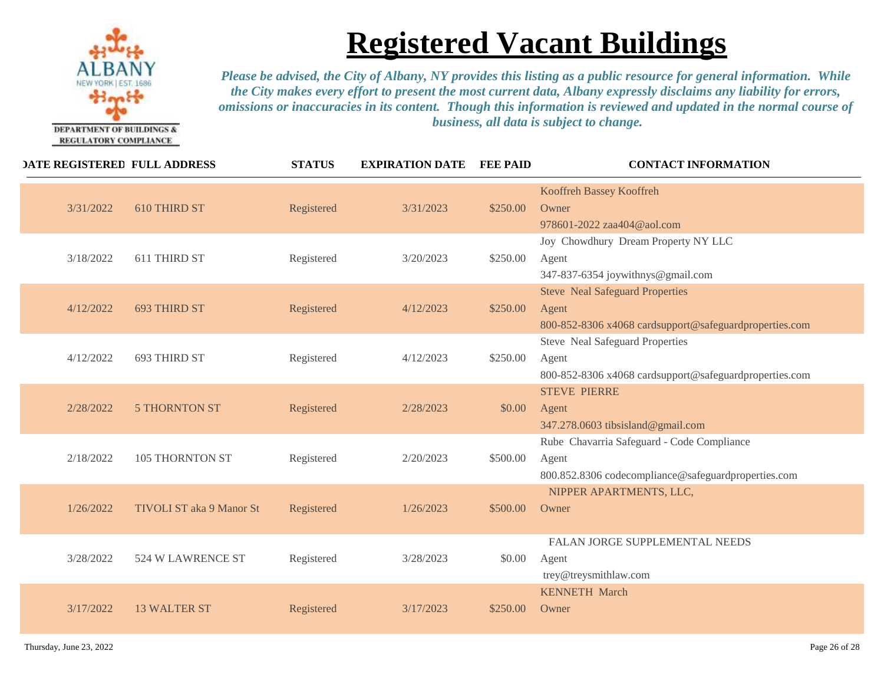

| <b>DATE REGISTERED FULL ADDRESS</b> |                          | <b>STATUS</b> | <b>EXPIRATION DATE</b> | <b>FEE PAID</b> | <b>CONTACT INFORMATION</b>                                                                                 |
|-------------------------------------|--------------------------|---------------|------------------------|-----------------|------------------------------------------------------------------------------------------------------------|
| 3/31/2022                           | 610 THIRD ST             | Registered    | 3/31/2023              | \$250.00        | Kooffreh Bassey Kooffreh<br>Owner<br>978601-2022 zaa404@aol.com                                            |
| 3/18/2022                           | 611 THIRD ST             | Registered    | 3/20/2023              | \$250.00        | Joy Chowdhury Dream Property NY LLC<br>Agent<br>347-837-6354 joywithnys@gmail.com                          |
| 4/12/2022                           | <b>693 THIRD ST</b>      | Registered    | 4/12/2023              | \$250.00        | <b>Steve Neal Safeguard Properties</b><br>Agent<br>800-852-8306 x4068 cardsupport@safeguardproperties.com  |
| 4/12/2022                           | 693 THIRD ST             | Registered    | 4/12/2023              | \$250.00        | <b>Steve Neal Safeguard Properties</b><br>Agent<br>800-852-8306 x4068 cardsupport@safeguardproperties.com  |
| 2/28/2022                           | <b>5 THORNTON ST</b>     | Registered    | 2/28/2023              | \$0.00          | <b>STEVE PIERRE</b><br>Agent<br>347.278.0603 tibsisland@gmail.com                                          |
| 2/18/2022                           | <b>105 THORNTON ST</b>   | Registered    | 2/20/2023              | \$500.00        | Rube Chavarria Safeguard - Code Compliance<br>Agent<br>800.852.8306 codecompliance@safeguardproperties.com |
| 1/26/2022                           | TIVOLI ST aka 9 Manor St | Registered    | 1/26/2023              | \$500.00        | NIPPER APARTMENTS, LLC,<br>Owner                                                                           |
| 3/28/2022                           | 524 W LAWRENCE ST        | Registered    | 3/28/2023              | \$0.00          | FALAN JORGE SUPPLEMENTAL NEEDS<br>Agent<br>trey@treysmithlaw.com                                           |
| 3/17/2022                           | <b>13 WALTER ST</b>      | Registered    | 3/17/2023              | \$250.00        | <b>KENNETH March</b><br>Owner                                                                              |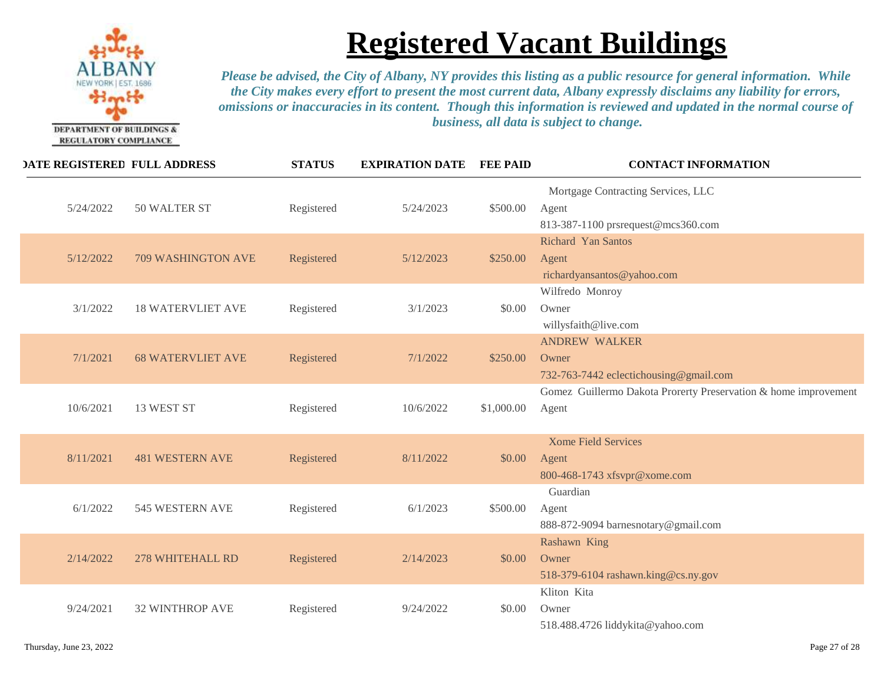

| <b>DATE REGISTERED FULL ADDRESS</b> |                          | <b>STATUS</b> | <b>EXPIRATION DATE</b> | <b>FEE PAID</b> | <b>CONTACT INFORMATION</b>                                                        |
|-------------------------------------|--------------------------|---------------|------------------------|-----------------|-----------------------------------------------------------------------------------|
| 5/24/2022                           | 50 WALTER ST             | Registered    | 5/24/2023              | \$500.00        | Mortgage Contracting Services, LLC<br>Agent<br>813-387-1100 prsrequest@mcs360.com |
| 5/12/2022                           | 709 WASHINGTON AVE       | Registered    | 5/12/2023              | \$250.00        | <b>Richard Yan Santos</b><br>Agent<br>richardyansantos@yahoo.com                  |
| 3/1/2022                            | <b>18 WATERVLIET AVE</b> | Registered    | 3/1/2023               | \$0.00          | Wilfredo Monroy<br>Owner<br>willysfaith@live.com                                  |
| 7/1/2021                            | <b>68 WATERVLIET AVE</b> | Registered    | 7/1/2022               | \$250.00        | <b>ANDREW WALKER</b><br>Owner<br>732-763-7442 eclectichousing@gmail.com           |
| 10/6/2021                           | 13 WEST ST               | Registered    | 10/6/2022              | \$1,000.00      | Gomez Guillermo Dakota Prorerty Preservation & home improvement<br>Agent          |
| 8/11/2021                           | <b>481 WESTERN AVE</b>   | Registered    | 8/11/2022              | \$0.00          | <b>Xome Field Services</b><br>Agent<br>800-468-1743 xfsvpr@xome.com               |
| 6/1/2022                            | 545 WESTERN AVE          | Registered    | 6/1/2023               | \$500.00        | Guardian<br>Agent<br>888-872-9094 barnesnotary@gmail.com                          |
| 2/14/2022                           | 278 WHITEHALL RD         | Registered    | 2/14/2023              | \$0.00          | Rashawn King<br>Owner<br>518-379-6104 rashawn.king@cs.ny.gov                      |
| 9/24/2021                           | <b>32 WINTHROP AVE</b>   | Registered    | 9/24/2022              | \$0.00          | Kliton Kita<br>Owner<br>518.488.4726 liddykita@yahoo.com                          |